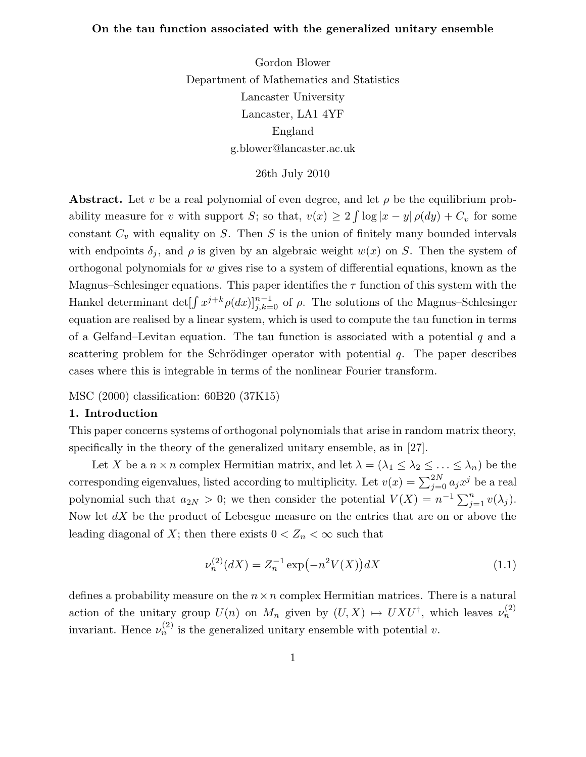# On the tau function associated with the generalized unitary ensemble

Gordon Blower Department of Mathematics and Statistics Lancaster University Lancaster, LA1 4YF England g.blower@lancaster.ac.uk

26th July 2010

**Abstract.** Let v be a real polynomial of even degree, and let  $\rho$  be the equilibrium probability measure for v with support S; so that,  $v(x) \ge 2 \int \log |x - y| \rho(dy) + C_v$  for some constant  $C_v$  with equality on S. Then S is the union of finitely many bounded intervals with endpoints  $\delta_j$ , and  $\rho$  is given by an algebraic weight  $w(x)$  on S. Then the system of orthogonal polynomials for  $w$  gives rise to a system of differential equations, known as the Magnus–Schlesinger equations. This paper identifies the  $\tau$  function of this system with the Hankel determinant  $\det[\int x^{j+k} \rho(dx)]_{j,k=0}^{n-1}$  of  $\rho$ . The solutions of the Magnus–Schlesinger equation are realised by a linear system, which is used to compute the tau function in terms of a Gelfand–Levitan equation. The tau function is associated with a potential  $q$  and a scattering problem for the Schrödinger operator with potential  $q$ . The paper describes cases where this is integrable in terms of the nonlinear Fourier transform.

MSC (2000) classification: 60B20 (37K15)

# 1. Introduction

This paper concerns systems of orthogonal polynomials that arise in random matrix theory, specifically in the theory of the generalized unitary ensemble, as in [27].

Let X be a  $n \times n$  complex Hermitian matrix, and let  $\lambda = (\lambda_1 \leq \lambda_2 \leq \ldots \leq \lambda_n)$  be the corresponding eigenvalues, listed according to multiplicity. Let  $v(x) = \sum_{j=0}^{2N} a_j x^j$  be a real polynomial such that  $a_{2N} > 0$ ; we then consider the potential  $V(X) = n^{-1} \sum_{j=1}^{n} v(\lambda_j)$ . Now let  $dX$  be the product of Lebesgue measure on the entries that are on or above the leading diagonal of X; then there exists  $0 < Z_n < \infty$  such that

$$
\nu_n^{(2)}(dX) = Z_n^{-1} \exp(-n^2 V(X)) dX \tag{1.1}
$$

defines a probability measure on the  $n \times n$  complex Hermitian matrices. There is a natural action of the unitary group  $U(n)$  on  $M_n$  given by  $(U, X) \mapsto UXU^{\dagger}$ , which leaves  $\nu_n^{(2)}$ invariant. Hence  $\nu_n^{(2)}$  is the generalized unitary ensemble with potential v.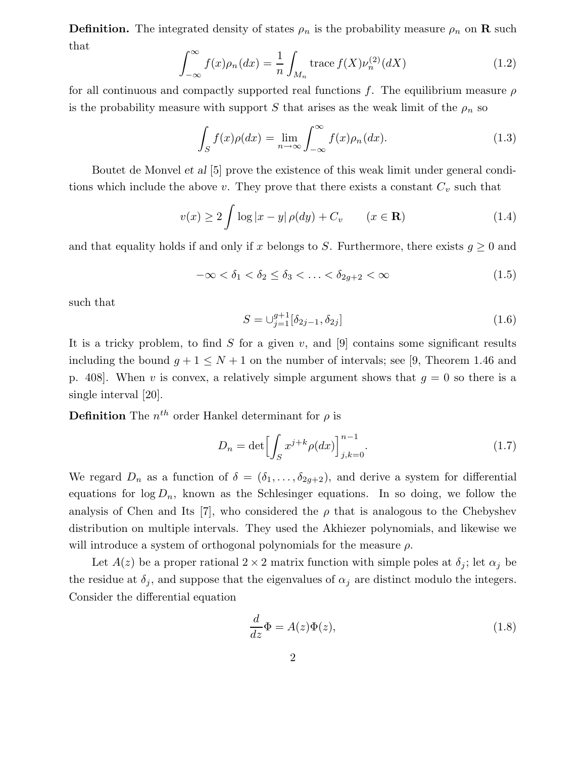**Definition.** The integrated density of states  $\rho_n$  is the probability measure  $\rho_n$  on **R** such that

$$
\int_{-\infty}^{\infty} f(x)\rho_n(dx) = \frac{1}{n} \int_{M_n} \text{trace } f(X)\nu_n^{(2)}(dX) \tag{1.2}
$$

for all continuous and compactly supported real functions f. The equilibrium measure  $\rho$ is the probability measure with support S that arises as the weak limit of the  $\rho_n$  so

$$
\int_{S} f(x)\rho(dx) = \lim_{n \to \infty} \int_{-\infty}^{\infty} f(x)\rho_n(dx). \tag{1.3}
$$

Boutet de Monvel et al [5] prove the existence of this weak limit under general conditions which include the above v. They prove that there exists a constant  $C_v$  such that

$$
v(x) \ge 2 \int \log|x - y| \rho(dy) + C_v \qquad (x \in \mathbf{R}) \tag{1.4}
$$

and that equality holds if and only if x belongs to S. Furthermore, there exists  $g \geq 0$  and

$$
-\infty < \delta_1 < \delta_2 \le \delta_3 < \ldots < \delta_{2g+2} < \infty \tag{1.5}
$$

such that

$$
S = \bigcup_{j=1}^{g+1} [\delta_{2j-1}, \delta_{2j}] \tag{1.6}
$$

It is a tricky problem, to find S for a given v, and  $[9]$  contains some significant results including the bound  $g + 1 \leq N + 1$  on the number of intervals; see [9, Theorem 1.46 and p. 408. When v is convex, a relatively simple argument shows that  $g = 0$  so there is a single interval [20].

**Definition** The  $n^{th}$  order Hankel determinant for  $\rho$  is

$$
D_n = \det \left[ \int_S x^{j+k} \rho(dx) \right]_{j,k=0}^{n-1}.
$$
\n(1.7)

We regard  $D_n$  as a function of  $\delta = (\delta_1, \ldots, \delta_{2g+2})$ , and derive a system for differential equations for  $\log D_n$ , known as the Schlesinger equations. In so doing, we follow the analysis of Chen and Its [7], who considered the  $\rho$  that is analogous to the Chebyshev distribution on multiple intervals. They used the Akhiezer polynomials, and likewise we will introduce a system of orthogonal polynomials for the measure  $\rho$ .

Let  $A(z)$  be a proper rational  $2 \times 2$  matrix function with simple poles at  $\delta_j$ ; let  $\alpha_j$  be the residue at  $\delta_j$ , and suppose that the eigenvalues of  $\alpha_j$  are distinct modulo the integers. Consider the differential equation

$$
\frac{d}{dz}\Phi = A(z)\Phi(z),\tag{1.8}
$$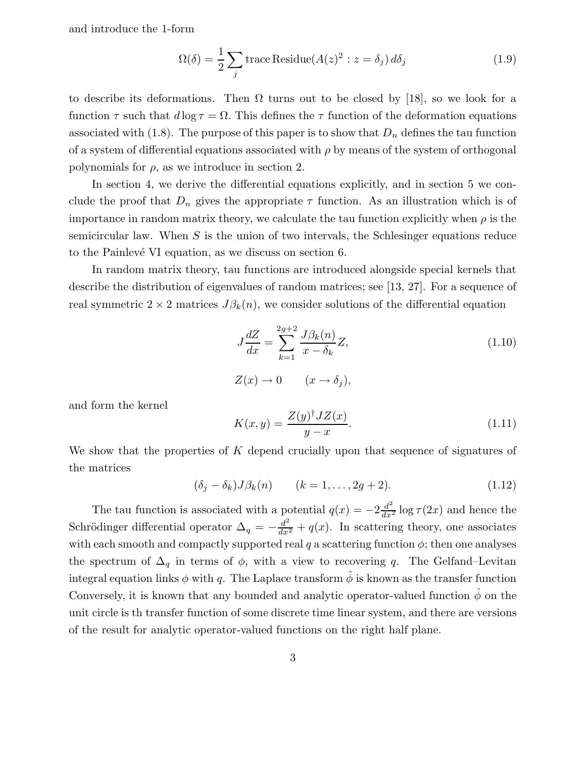and introduce the 1-form

$$
\Omega(\delta) = \frac{1}{2} \sum_{j} \text{trace Residue}(A(z)^2 : z = \delta_j) d\delta_j \tag{1.9}
$$

to describe its deformations. Then  $\Omega$  turns out to be closed by [18], so we look for a function  $\tau$  such that  $d \log \tau = \Omega$ . This defines the  $\tau$  function of the deformation equations associated with (1.8). The purpose of this paper is to show that  $D_n$  defines the tau function of a system of differential equations associated with  $\rho$  by means of the system of orthogonal polynomials for  $\rho$ , as we introduce in section 2.

In section 4, we derive the differential equations explicitly, and in section 5 we conclude the proof that  $D_n$  gives the appropriate  $\tau$  function. As an illustration which is of importance in random matrix theory, we calculate the tau function explicitly when  $\rho$  is the semicircular law. When  $S$  is the union of two intervals, the Schlesinger equations reduce to the Painlevé VI equation, as we discuss on section 6.

In random matrix theory, tau functions are introduced alongside special kernels that describe the distribution of eigenvalues of random matrices; see [13, 27]. For a sequence of real symmetric  $2 \times 2$  matrices  $J\beta_k(n)$ , we consider solutions of the differential equation

$$
J\frac{dZ}{dx} = \sum_{k=1}^{2g+2} \frac{J\beta_k(n)}{x - \delta_k} Z,
$$
\n
$$
Z(x) \to 0 \qquad (x \to \delta_j),
$$
\n(1.10)

and form the kernel

$$
K(x,y) = \frac{Z(y)^\dagger J Z(x)}{y - x}.\tag{1.11}
$$

We show that the properties of K depend crucially upon that sequence of signatures of the matrices

$$
(\delta_j - \delta_k)J\beta_k(n) \qquad (k = 1, \dots, 2g + 2). \tag{1.12}
$$

The tau function is associated with a potential  $q(x) = -2\frac{d^2}{dx^2} \log \tau(2x)$  and hence the Schrödinger differential operator  $\Delta_q = -\frac{d^2}{dx^2} + q(x)$ . In scattering theory, one associates with each smooth and compactly supported real q a scattering function  $\phi$ ; then one analyses the spectrum of  $\Delta_q$  in terms of  $\phi$ , with a view to recovering q. The Gelfand–Levitan integral equation links  $\phi$  with q. The Laplace transform  $\hat{\phi}$  is known as the transfer function Conversely, it is known that any bounded and analytic operator-valued function  $\phi$  on the unit circle is th transfer function of some discrete time linear system, and there are versions of the result for analytic operator-valued functions on the right half plane.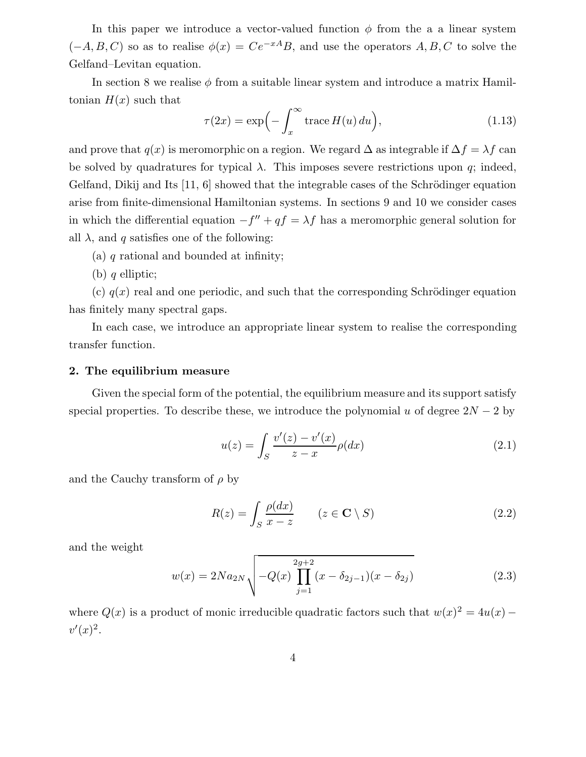In this paper we introduce a vector-valued function  $\phi$  from the a a linear system  $(-A, B, C)$  so as to realise  $\phi(x) = Ce^{-xA}B$ , and use the operators  $A, B, C$  to solve the Gelfand–Levitan equation.

In section 8 we realise  $\phi$  from a suitable linear system and introduce a matrix Hamiltonian  $H(x)$  such that

$$
\tau(2x) = \exp\left(-\int_x^{\infty} \text{trace}\, H(u) \, du\right),\tag{1.13}
$$

and prove that  $q(x)$  is meromorphic on a region. We regard  $\Delta$  as integrable if  $\Delta f = \lambda f$  can be solved by quadratures for typical  $\lambda$ . This imposes severe restrictions upon q; indeed, Gelfand, Dikij and Its  $[11, 6]$  showed that the integrable cases of the Schrödinger equation arise from finite-dimensional Hamiltonian systems. In sections 9 and 10 we consider cases in which the differential equation  $-f'' + qf = \lambda f$  has a meromorphic general solution for all  $\lambda$ , and q satisfies one of the following:

(a) q rational and bounded at infinity;

(b)  $q$  elliptic;

(c)  $q(x)$  real and one periodic, and such that the corresponding Schrödinger equation has finitely many spectral gaps.

In each case, we introduce an appropriate linear system to realise the corresponding transfer function.

#### 2. The equilibrium measure

Given the special form of the potential, the equilibrium measure and its support satisfy special properties. To describe these, we introduce the polynomial u of degree  $2N - 2$  by

$$
u(z) = \int_{S} \frac{v'(z) - v'(x)}{z - x} \rho(dx)
$$
\n(2.1)

and the Cauchy transform of  $\rho$  by

$$
R(z) = \int_{S} \frac{\rho(dx)}{x - z} \qquad (z \in \mathbf{C} \setminus S) \tag{2.2}
$$

and the weight

$$
w(x) = 2Na_{2N}\sqrt{-Q(x)\prod_{j=1}^{2g+2}(x-\delta_{2j-1})(x-\delta_{2j})}
$$
\n(2.3)

where  $Q(x)$  is a product of monic irreducible quadratic factors such that  $w(x)^2 = 4u(x)$  $v'(x)^2$ .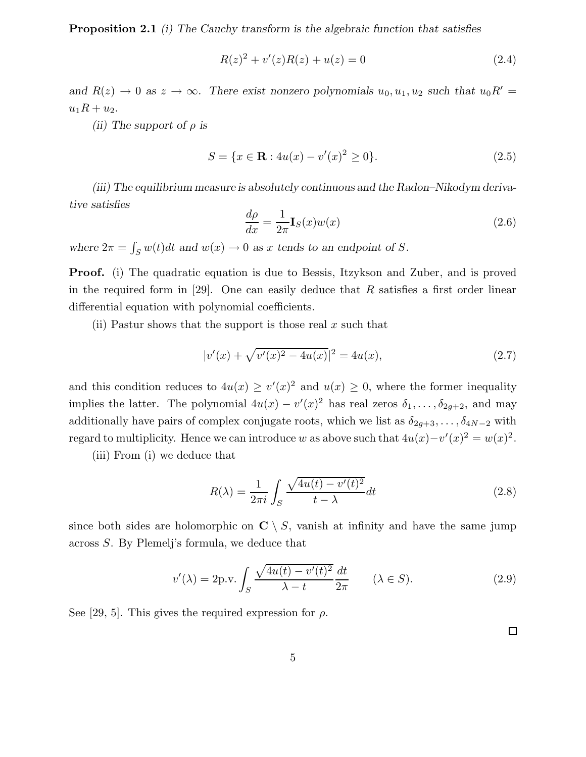Proposition 2.1 (i) The Cauchy transform is the algebraic function that satisfies

$$
R(z)^{2} + v'(z)R(z) + u(z) = 0
$$
\n(2.4)

and  $R(z) \to 0$  as  $z \to \infty$ . There exist nonzero polynomials  $u_0, u_1, u_2$  such that  $u_0 R' =$  $u_1R + u_2.$ 

(ii) The support of  $\rho$  is

$$
S = \{x \in \mathbf{R} : 4u(x) - v'(x)^2 \ge 0\}.
$$
 (2.5)

(iii) The equilibrium measure is absolutely continuous and the Radon–Nikodym derivative satisfies

$$
\frac{d\rho}{dx} = \frac{1}{2\pi} \mathbf{I}_S(x) w(x)
$$
\n(2.6)

where  $2\pi = \int_S w(t)dt$  and  $w(x) \to 0$  as x tends to an endpoint of S.

**Proof.** (i) The quadratic equation is due to Bessis, Itzykson and Zuber, and is proved in the required form in [29]. One can easily deduce that  $R$  satisfies a first order linear differential equation with polynomial coefficients.

(ii) Pastur shows that the support is those real  $x$  such that

$$
|v'(x) + \sqrt{v'(x)^2 - 4u(x)}|^2 = 4u(x),\tag{2.7}
$$

and this condition reduces to  $4u(x) \ge v'(x)^2$  and  $u(x) \ge 0$ , where the former inequality implies the latter. The polynomial  $4u(x) - v'(x)^2$  has real zeros  $\delta_1, \ldots, \delta_{2g+2}$ , and may additionally have pairs of complex conjugate roots, which we list as  $\delta_{2g+3}, \ldots, \delta_{4N-2}$  with regard to multiplicity. Hence we can introduce w as above such that  $4u(x)-v'(x)^2 = w(x)^2$ .

(iii) From (i) we deduce that

$$
R(\lambda) = \frac{1}{2\pi i} \int_{S} \frac{\sqrt{4u(t) - v'(t)^2}}{t - \lambda} dt
$$
\n(2.8)

since both sides are holomorphic on  $C \setminus S$ , vanish at infinity and have the same jump across S. By Plemelj's formula, we deduce that

$$
v'(\lambda) = 2p.v. \int_{S} \frac{\sqrt{4u(t) - v'(t)^2}}{\lambda - t} \frac{dt}{2\pi} \qquad (\lambda \in S). \tag{2.9}
$$

See [29, 5]. This gives the required expression for  $\rho$ .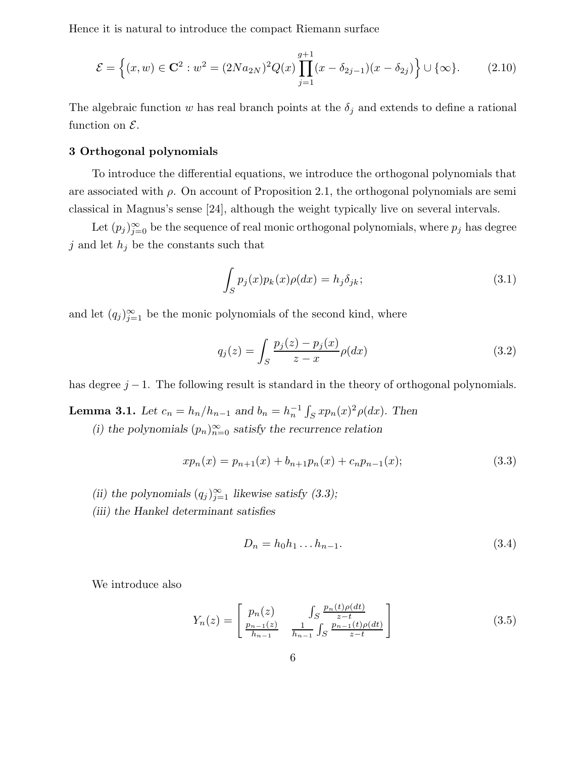Hence it is natural to introduce the compact Riemann surface

$$
\mathcal{E} = \left\{ (x, w) \in \mathbf{C}^2 : w^2 = (2Na_{2N})^2 Q(x) \prod_{j=1}^{g+1} (x - \delta_{2j-1})(x - \delta_{2j}) \right\} \cup \{\infty\}. \tag{2.10}
$$

The algebraic function w has real branch points at the  $\delta_j$  and extends to define a rational function on  $\mathcal{E}.$ 

# 3 Orthogonal polynomials

To introduce the differential equations, we introduce the orthogonal polynomials that are associated with  $\rho$ . On account of Proposition 2.1, the orthogonal polynomials are semiclassical in Magnus's sense [24], although the weight typically live on several intervals.

Let  $(p_j)_{j=0}^{\infty}$  be the sequence of real monic orthogonal polynomials, where  $p_j$  has degree  $j$  and let  $h_j$  be the constants such that

$$
\int_{S} p_j(x) p_k(x) \rho(dx) = h_j \delta_{jk};\tag{3.1}
$$

and let  $(q_j)_{j=1}^{\infty}$  be the monic polynomials of the second kind, where

$$
q_j(z) = \int_S \frac{p_j(z) - p_j(x)}{z - x} \rho(dx)
$$
\n(3.2)

has degree  $j - 1$ . The following result is standard in the theory of orthogonal polynomials.

**Lemma 3.1.** Let  $c_n = h_n/h_{n-1}$  and  $b_n = h_n^{-1} \int_S x p_n(x)^2 \rho(dx)$ . Then

(i) the polynomials  $(p_n)_{n=0}^{\infty}$  satisfy the recurrence relation

$$
xp_n(x) = p_{n+1}(x) + b_{n+1}p_n(x) + c_n p_{n-1}(x); \tag{3.3}
$$

- (ii) the polynomials  $(q_j)_{j=1}^{\infty}$  likewise satisfy (3.3);
- (iii) the Hankel determinant satisfies

$$
D_n = h_0 h_1 \dots h_{n-1}.\tag{3.4}
$$

We introduce also

$$
Y_n(z) = \begin{bmatrix} p_n(z) & \int_S \frac{p_n(t)\rho(dt)}{z-t} \\ \frac{p_{n-1}(z)}{h_{n-1}} & \frac{1}{h_{n-1}} \int_S \frac{p_{n-1}(t)\rho(dt)}{z-t} \end{bmatrix}
$$
 (3.5)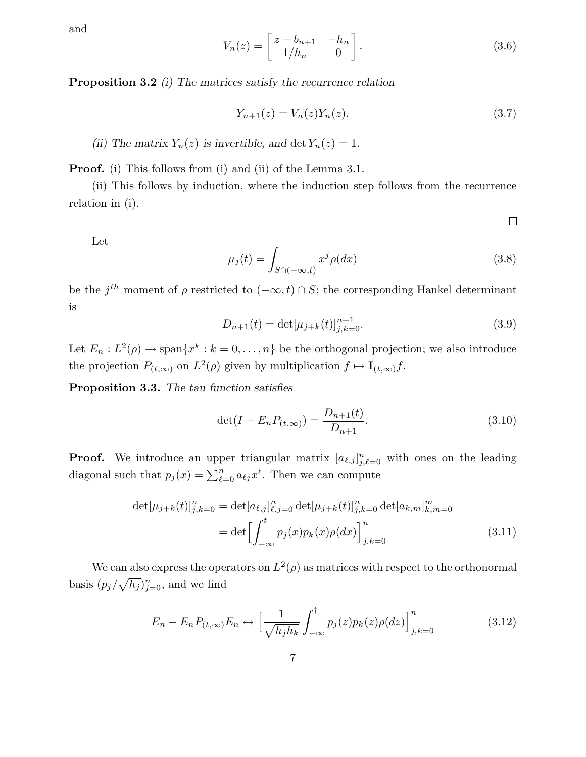and

$$
V_n(z) = \begin{bmatrix} z - b_{n+1} & -h_n \ 1/h_n & 0 \end{bmatrix}.
$$
 (3.6)

Proposition 3.2 (i) The matrices satisfy the recurrence relation

$$
Y_{n+1}(z) = V_n(z)Y_n(z).
$$
\n(3.7)

(ii) The matrix  $Y_n(z)$  is invertible, and det  $Y_n(z) = 1$ .

Proof. (i) This follows from (i) and (ii) of the Lemma 3.1.

(ii) This follows by induction, where the induction step follows from the recurrence relation in (i).

 $\Box$ 

$$
\rm Let
$$

$$
\mu_j(t) = \int_{S \cap (-\infty, t)} x^j \rho(dx) \tag{3.8}
$$

be the  $j^{th}$  moment of  $\rho$  restricted to  $(-\infty, t) \cap S$ ; the corresponding Hankel determinant is

$$
D_{n+1}(t) = \det[\mu_{j+k}(t)]_{j,k=0}^{n+1}.
$$
\n(3.9)

Let  $E_n: L^2(\rho) \to \text{span}\{x^k : k = 0, \ldots, n\}$  be the orthogonal projection; we also introduce the projection  $P_{(t,\infty)}$  on  $L^2(\rho)$  given by multiplication  $f \mapsto \mathbf{I}_{(t,\infty)}f$ .

Proposition 3.3. The tau function satisfies

$$
\det(I - E_n P_{(t,\infty)}) = \frac{D_{n+1}(t)}{D_{n+1}}.\t(3.10)
$$

**Proof.** We introduce an upper triangular matrix  $[a_{\ell,j}]_{j,\ell=0}^n$  with ones on the leading diagonal such that  $p_j(x) = \sum_{\ell=0}^n a_{\ell j}x^{\ell}$ . Then we can compute

$$
\det[\mu_{j+k}(t)]_{j,k=0}^n = \det[a_{\ell,j}]_{\ell,j=0}^n \det[\mu_{j+k}(t)]_{j,k=0}^n \det[a_{k,m}]_{k,m=0}^m
$$

$$
= \det \left[ \int_{-\infty}^t p_j(x) p_k(x) \rho(dx) \right]_{j,k=0}^n \tag{3.11}
$$

We can also express the operators on  $L^2(\rho)$  as matrices with respect to the orthonormal basis  $(p_j/\sqrt{h_j})_{j=0}^n$ , and we find

$$
E_n - E_n P_{(t,\infty)} E_n \leftrightarrow \left[ \frac{1}{\sqrt{h_j h_k}} \int_{-\infty}^t p_j(z) p_k(z) \rho(dz) \right]_{j,k=0}^n \tag{3.12}
$$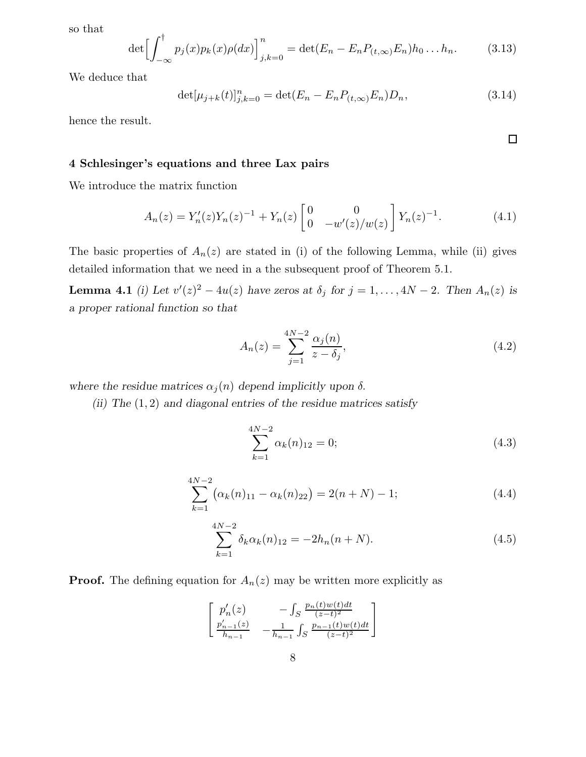so that

$$
\det \left[ \int_{-\infty}^{\dagger} p_j(x) p_k(x) \rho(dx) \right]_{j,k=0}^n = \det (E_n - E_n P_{(t,\infty)} E_n) h_0 \dots h_n. \tag{3.13}
$$

We deduce that

$$
\det[\mu_{j+k}(t)]_{j,k=0}^n = \det(E_n - E_n P_{(t,\infty)} E_n) D_n,
$$
\n(3.14)

hence the result.

# 4 Schlesinger's equations and three Lax pairs

We introduce the matrix function

$$
A_n(z) = Y'_n(z)Y_n(z)^{-1} + Y_n(z) \begin{bmatrix} 0 & 0 \ 0 & -w'(z)/w(z) \end{bmatrix} Y_n(z)^{-1}.
$$
 (4.1)

The basic properties of  $A_n(z)$  are stated in (i) of the following Lemma, while (ii) gives detailed information that we need in a the subsequent proof of Theorem 5.1.

**Lemma 4.1** (i) Let  $v'(z)^2 - 4u(z)$  have zeros at  $\delta_j$  for  $j = 1, ..., 4N - 2$ . Then  $A_n(z)$  is a proper rational function so that

$$
A_n(z) = \sum_{j=1}^{4N-2} \frac{\alpha_j(n)}{z - \delta_j},
$$
\n(4.2)

where the residue matrices  $\alpha_j(n)$  depend implicitly upon  $\delta$ .

(ii) The  $(1, 2)$  and diagonal entries of the residue matrices satisfy

$$
\sum_{k=1}^{4N-2} \alpha_k(n)_{12} = 0; \tag{4.3}
$$

$$
\sum_{k=1}^{4N-2} (\alpha_k(n)_{11} - \alpha_k(n)_{22}) = 2(n+N) - 1; \tag{4.4}
$$

$$
\sum_{k=1}^{4N-2} \delta_k \alpha_k(n)_{12} = -2h_n(n+N). \tag{4.5}
$$

**Proof.** The defining equation for  $A_n(z)$  may be written more explicitly as

$$
\begin{bmatrix} p'_n(z) & -\int_S \frac{p_n(t)w(t)dt}{(z-t)^2} \\ \frac{p'_{n-1}(z)}{h_{n-1}} & -\frac{1}{h_{n-1}} \int_S \frac{p_{n-1}(t)w(t)dt}{(z-t)^2} \end{bmatrix}
$$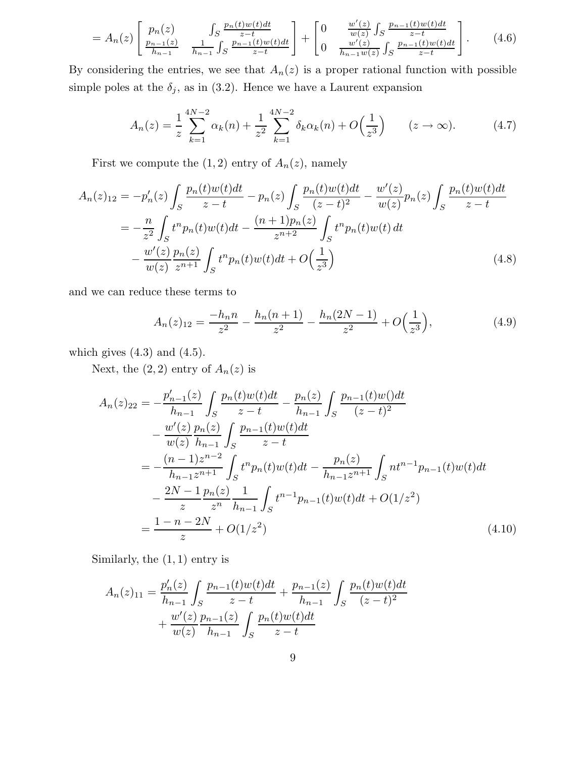$$
=A_n(z)\left[\begin{array}{cc}p_n(z) & \int_S \frac{p_n(t)w(t)dt}{z-t} \\ \frac{p_{n-1}(z)}{h_{n-1}} & \frac{1}{h_{n-1}}\int_S \frac{p_{n-1}(t)w(t)dt}{z-t} \end{array}\right] + \left[\begin{array}{cc}0 & \frac{w'(z)}{w(z)}\int_S \frac{p_{n-1}(t)w(t)dt}{z-t} \\ 0 & \frac{w'(z)}{h_{n-1}w(z)}\int_S \frac{p_{n-1}(t)w(t)dt}{z-t} \end{array}\right].\tag{4.6}
$$

By considering the entries, we see that  $A_n(z)$  is a proper rational function with possible simple poles at the  $\delta_j$ , as in (3.2). Hence we have a Laurent expansion

$$
A_n(z) = \frac{1}{z} \sum_{k=1}^{4N-2} \alpha_k(n) + \frac{1}{z^2} \sum_{k=1}^{4N-2} \delta_k \alpha_k(n) + O\left(\frac{1}{z^3}\right) \qquad (z \to \infty). \tag{4.7}
$$

First we compute the  $(1, 2)$  entry of  $A_n(z)$ , namely

$$
A_n(z)_{12} = -p'_n(z) \int_S \frac{p_n(t)w(t)dt}{z-t} - p_n(z) \int_S \frac{p_n(t)w(t)dt}{(z-t)^2} - \frac{w'(z)}{w(z)} p_n(z) \int_S \frac{p_n(t)w(t)dt}{z-t}
$$
  

$$
= -\frac{n}{z^2} \int_S t^n p_n(t)w(t)dt - \frac{(n+1)p_n(z)}{z^{n+2}} \int_S t^n p_n(t)w(t)dt
$$
  

$$
- \frac{w'(z)}{w(z)} \frac{p_n(z)}{z^{n+1}} \int_S t^n p_n(t)w(t)dt + O\left(\frac{1}{z^3}\right)
$$
(4.8)

and we can reduce these terms to

$$
A_n(z)_{12} = \frac{-h_n n}{z^2} - \frac{h_n(n+1)}{z^2} - \frac{h_n(2N-1)}{z^2} + O\left(\frac{1}{z^3}\right),\tag{4.9}
$$

which gives  $(4.3)$  and  $(4.5)$ .

Next, the  $(2, 2)$  entry of  $A_n(z)$  is

$$
A_n(z)_{22} = -\frac{p'_{n-1}(z)}{h_{n-1}} \int_S \frac{p_n(t)w(t)dt}{z-t} - \frac{p_n(z)}{h_{n-1}} \int_S \frac{p_{n-1}(t)w()dt}{(z-t)^2} - \frac{w'(z)}{w(z)} \frac{p_n(z)}{h_{n-1}} \int_S \frac{p_{n-1}(t)w(t)dt}{z-t} = -\frac{(n-1)z^{n-2}}{h_{n-1}z^{n+1}} \int_S t^n p_n(t)w(t)dt - \frac{p_n(z)}{h_{n-1}z^{n+1}} \int_S nt^{n-1} p_{n-1}(t)w(t)dt - \frac{2N-1}{z} \frac{p_n(z)}{z^n} \frac{1}{h_{n-1}} \int_S t^{n-1} p_{n-1}(t)w(t)dt + O(1/z^2) = \frac{1-n-2N}{z} + O(1/z^2)
$$
(4.10)

Similarly, the  $(1, 1)$  entry is

$$
A_n(z)_{11} = \frac{p'_n(z)}{h_{n-1}} \int_S \frac{p_{n-1}(t)w(t)dt}{z-t} + \frac{p_{n-1}(z)}{h_{n-1}} \int_S \frac{p_n(t)w(t)dt}{(z-t)^2} + \frac{w'(z)}{w(z)} \frac{p_{n-1}(z)}{h_{n-1}} \int_S \frac{p_n(t)w(t)dt}{z-t}
$$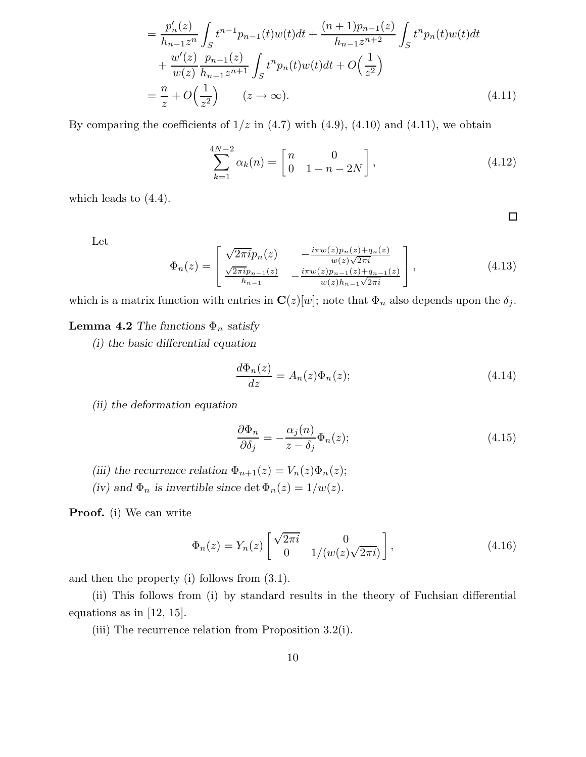$$
= \frac{p'_n(z)}{h_{n-1}z^n} \int_S t^{n-1}p_{n-1}(t)w(t)dt + \frac{(n+1)p_{n-1}(z)}{h_{n-1}z^{n+2}} \int_S t^np_n(t)w(t)dt + \frac{w'(z)}{w(z)} \frac{p_{n-1}(z)}{h_{n-1}z^{n+1}} \int_S t^np_n(t)w(t)dt + O\left(\frac{1}{z^2}\right) = \frac{n}{z} + O\left(\frac{1}{z^2}\right) \qquad (z \to \infty).
$$
 (4.11)

By comparing the coefficients of  $1/z$  in  $(4.7)$  with  $(4.9)$ ,  $(4.10)$  and  $(4.11)$ , we obtain

$$
\sum_{k=1}^{4N-2} \alpha_k(n) = \begin{bmatrix} n & 0 \\ 0 & 1 - n - 2N \end{bmatrix},
$$
\n(4.12)

 $\Box$ 

which leads to (4.4).

Let

$$
\Phi_n(z) = \begin{bmatrix}\n\sqrt{2\pi i}p_n(z) & -\frac{i\pi w(z)p_n(z) + q_n(z)}{w(z)\sqrt{2\pi i}} \\
\frac{\sqrt{2\pi i}p_{n-1}(z)}{h_{n-1}} & -\frac{i\pi w(z)p_{n-1}(z) + q_{n-1}(z)}{w(z)h_{n-1}\sqrt{2\pi i}}\n\end{bmatrix},
$$
\n(4.13)

which is a matrix function with entries in  $\mathbf{C}(z)[w]$ ; note that  $\Phi_n$  also depends upon the  $\delta_j$ .

# **Lemma 4.2** The functions  $\Phi_n$  satisfy

(i) the basic differential equation

$$
\frac{d\Phi_n(z)}{dz} = A_n(z)\Phi_n(z);
$$
\n(4.14)

(ii) the deformation equation

$$
\frac{\partial \Phi_n}{\partial \delta_j} = -\frac{\alpha_j(n)}{z - \delta_j} \Phi_n(z); \tag{4.15}
$$

- (iii) the recurrence relation  $\Phi_{n+1}(z) = V_n(z)\Phi_n(z);$
- (iv) and  $\Phi_n$  is invertible since det  $\Phi_n(z) = 1/w(z)$ .

Proof. (i) We can write

$$
\Phi_n(z) = Y_n(z) \begin{bmatrix} \sqrt{2\pi i} & 0\\ 0 & 1/(w(z)\sqrt{2\pi i}) \end{bmatrix},\tag{4.16}
$$

and then the property (i) follows from (3.1).

(ii) This follows from (i) by standard results in the theory of Fuchsian differential equations as in  $|12, 15|$ .

(iii) The recurrence relation from Proposition 3.2(i).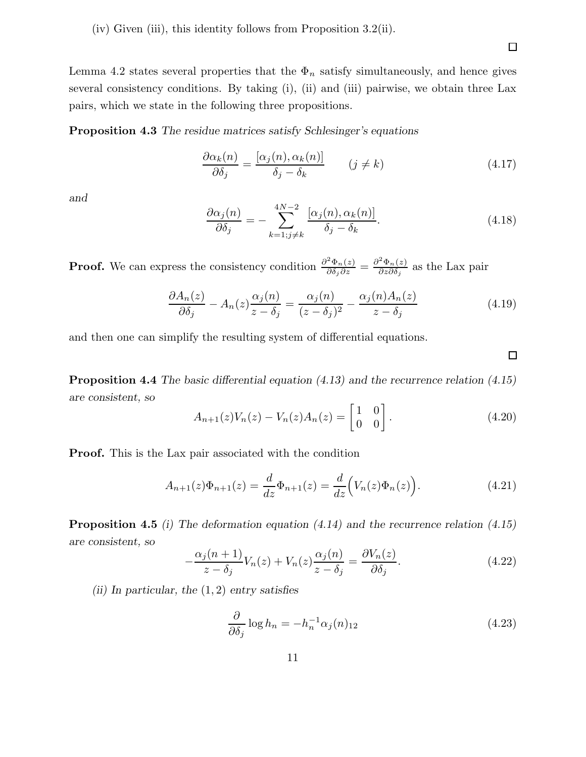(iv) Given (iii), this identity follows from Proposition 3.2(ii).

Lemma 4.2 states several properties that the  $\Phi_n$  satisfy simultaneously, and hence gives several consistency conditions. By taking (i), (ii) and (iii) pairwise, we obtain three Lax pairs, which we state in the following three propositions.

Proposition 4.3 The residue matrices satisfy Schlesinger's equations

$$
\frac{\partial \alpha_k(n)}{\partial \delta_j} = \frac{[\alpha_j(n), \alpha_k(n)]}{\delta_j - \delta_k} \qquad (j \neq k)
$$
\n(4.17)

and

$$
\frac{\partial \alpha_j(n)}{\partial \delta_j} = -\sum_{k=1; j \neq k}^{4N-2} \frac{[\alpha_j(n), \alpha_k(n)]}{\delta_j - \delta_k}.
$$
\n(4.18)

**Proof.** We can express the consistency condition  $\frac{\partial^2 \Phi_n(z)}{\partial \delta_j \partial z} = \frac{\partial^2 \Phi_n(z)}{\partial z \partial \delta_j}$  $\frac{\Psi_n(z)}{\partial z \partial \delta_j}$  as the Lax pair

$$
\frac{\partial A_n(z)}{\partial \delta_j} - A_n(z) \frac{\alpha_j(n)}{z - \delta_j} = \frac{\alpha_j(n)}{(z - \delta_j)^2} - \frac{\alpha_j(n) A_n(z)}{z - \delta_j} \tag{4.19}
$$

and then one can simplify the resulting system of differential equations.

Proposition 4.4 The basic differential equation (4.13) and the recurrence relation (4.15) are consistent, so

$$
A_{n+1}(z)V_n(z) - V_n(z)A_n(z) = \begin{bmatrix} 1 & 0 \\ 0 & 0 \end{bmatrix}.
$$
 (4.20)

Proof. This is the Lax pair associated with the condition

$$
A_{n+1}(z)\Phi_{n+1}(z) = \frac{d}{dz}\Phi_{n+1}(z) = \frac{d}{dz}\Big(V_n(z)\Phi_n(z)\Big). \tag{4.21}
$$

Proposition 4.5 (i) The deformation equation (4.14) and the recurrence relation (4.15) are consistent, so

$$
-\frac{\alpha_j(n+1)}{z-\delta_j}V_n(z) + V_n(z)\frac{\alpha_j(n)}{z-\delta_j} = \frac{\partial V_n(z)}{\partial \delta_j}.
$$
\n(4.22)

(ii) In particular, the  $(1, 2)$  entry satisfies

$$
\frac{\partial}{\partial \delta_j} \log h_n = -h_n^{-1} \alpha_j(n)_{12} \tag{4.23}
$$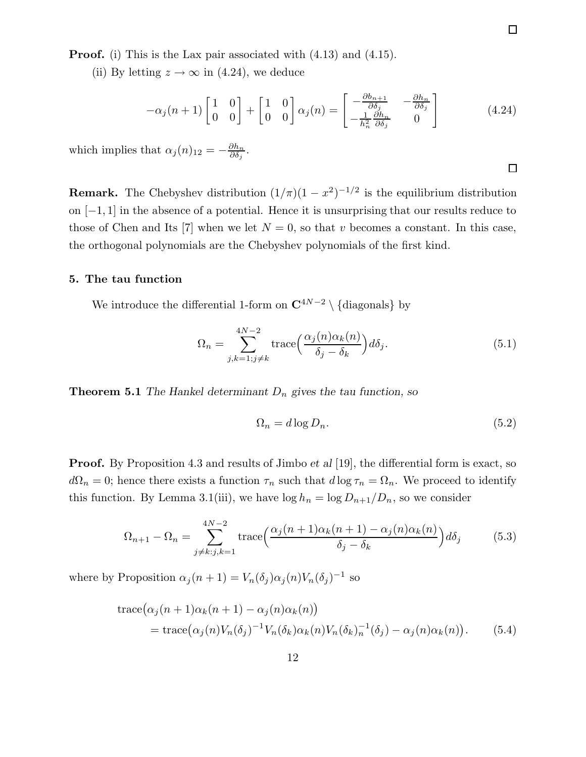Proof. (i) This is the Lax pair associated with (4.13) and (4.15).

(ii) By letting  $z \to \infty$  in (4.24), we deduce

$$
-\alpha_j(n+1)\begin{bmatrix} 1 & 0 \ 0 & 0 \end{bmatrix} + \begin{bmatrix} 1 & 0 \ 0 & 0 \end{bmatrix} \alpha_j(n) = \begin{bmatrix} -\frac{\partial b_{n+1}}{\partial \delta_j} & -\frac{\partial h_n}{\partial \delta_j} \\ -\frac{1}{h_n^2} \frac{\partial h_n}{\partial \delta_j} & 0 \end{bmatrix}
$$
(4.24)

which implies that  $\alpha_j(n)_{12} = -\frac{\partial h_n}{\partial \delta_j}$  $\frac{\partial h_n}{\partial \delta_j}.$ 

**Remark.** The Chebyshev distribution  $(1/\pi)(1 - x^2)^{-1/2}$  is the equilibrium distribution on [−1, 1] in the absence of a potential. Hence it is unsurprising that our results reduce to those of Chen and Its [7] when we let  $N = 0$ , so that v becomes a constant. In this case, the orthogonal polynomials are the Chebyshev polynomials of the first kind.

#### 5. The tau function

We introduce the differential 1-form on  $\mathbb{C}^{4N-2} \setminus {\text{diagonals}}$  by

$$
\Omega_n = \sum_{j,k=1;j\neq k}^{4N-2} \text{trace}\Big(\frac{\alpha_j(n)\alpha_k(n)}{\delta_j - \delta_k}\Big)d\delta_j. \tag{5.1}
$$

**Theorem 5.1** The Hankel determinant  $D_n$  gives the tau function, so

$$
\Omega_n = d \log D_n. \tag{5.2}
$$

**Proof.** By Proposition 4.3 and results of Jimbo *et al* [19], the differential form is exact, so  $d\Omega_n = 0$ ; hence there exists a function  $\tau_n$  such that  $d \log \tau_n = \Omega_n$ . We proceed to identify this function. By Lemma 3.1(iii), we have  $\log h_n = \log D_{n+1}/D_n$ , so we consider

$$
\Omega_{n+1} - \Omega_n = \sum_{j \neq k: j, k=1}^{4N-2} \text{trace}\left(\frac{\alpha_j(n+1)\alpha_k(n+1) - \alpha_j(n)\alpha_k(n)}{\delta_j - \delta_k}\right) d\delta_j \tag{5.3}
$$

where by Proposition  $\alpha_j(n+1) = V_n(\delta_j) \alpha_j(n) V_n(\delta_j)^{-1}$  so

trace
$$
(\alpha_j(n+1)\alpha_k(n+1) - \alpha_j(n)\alpha_k(n))
$$
  
= trace $(\alpha_j(n)V_n(\delta_j)^{-1}V_n(\delta_k)\alpha_k(n)V_n(\delta_k)_n^{-1}(\delta_j) - \alpha_j(n)\alpha_k(n)).$  (5.4)

 $\Box$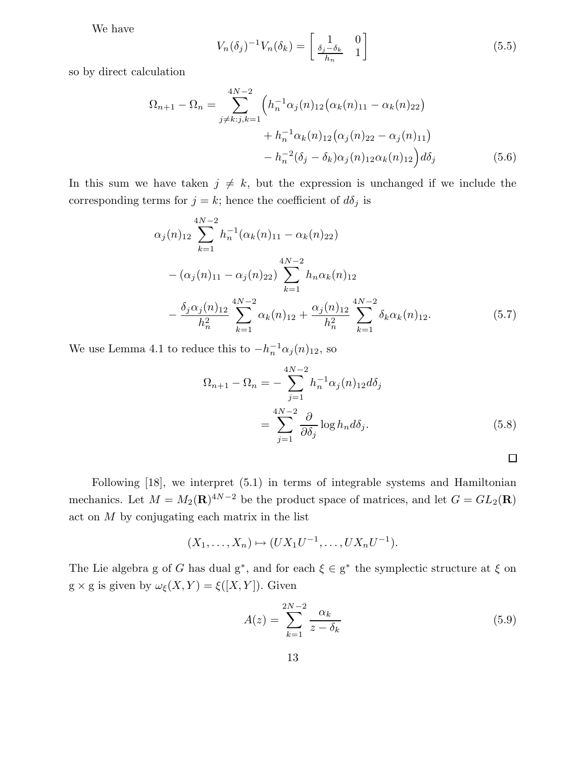We have

$$
V_n(\delta_j)^{-1}V_n(\delta_k) = \begin{bmatrix} 1 & 0\\ \frac{\delta_j - \delta_k}{h_n} & 1 \end{bmatrix}
$$
 (5.5)

so by direct calculation

$$
\Omega_{n+1} - \Omega_n = \sum_{j \neq k: j, k=1}^{4N-2} \left( h_n^{-1} \alpha_j(n)_{12} \left( \alpha_k(n)_{11} - \alpha_k(n)_{22} \right) + h_n^{-1} \alpha_k(n)_{12} \left( \alpha_j(n)_{22} - \alpha_j(n)_{11} \right) - h_n^{-2} (\delta_j - \delta_k) \alpha_j(n)_{12} \alpha_k(n)_{12} \right) d\delta_j \tag{5.6}
$$

In this sum we have taken  $j \neq k$ , but the expression is unchanged if we include the corresponding terms for  $j = k$ ; hence the coefficient of  $d\delta_j$  is

$$
\alpha_j(n)_{12} \sum_{k=1}^{4N-2} h_n^{-1}(\alpha_k(n)_{11} - \alpha_k(n)_{22})
$$
  
 
$$
-(\alpha_j(n)_{11} - \alpha_j(n)_{22}) \sum_{k=1}^{4N-2} h_n \alpha_k(n)_{12}
$$
  
 
$$
-\frac{\delta_j \alpha_j(n)_{12}}{h_n^2} \sum_{k=1}^{4N-2} \alpha_k(n)_{12} + \frac{\alpha_j(n)_{12}}{h_n^2} \sum_{k=1}^{4N-2} \delta_k \alpha_k(n)_{12}.
$$
 (5.7)

We use Lemma 4.1 to reduce this to  $-h_n^{-1} \alpha_j(n)_{12}$ , so

$$
\Omega_{n+1} - \Omega_n = -\sum_{j=1}^{4N-2} h_n^{-1} \alpha_j(n)_{12} d\delta_j
$$

$$
= \sum_{j=1}^{4N-2} \frac{\partial}{\partial \delta_j} \log h_n d\delta_j.
$$
(5.8)

Following [18], we interpret (5.1) in terms of integrable systems and Hamiltonian mechanics. Let  $M = M_2(\mathbf{R})^{4N-2}$  be the product space of matrices, and let  $G = GL_2(\mathbf{R})$ act on M by conjugating each matrix in the list

$$
(X_1,\ldots,X_n)\mapsto (UX_1U^{-1},\ldots,UX_nU^{-1}).
$$

The Lie algebra g of G has dual  $g^*$ , and for each  $\xi \in g^*$  the symplectic structure at  $\xi$  on g × g is given by  $\omega_{\xi}(X,Y) = \xi([X,Y]).$  Given

$$
A(z) = \sum_{k=1}^{2N-2} \frac{\alpha_k}{z - \delta_k} \tag{5.9}
$$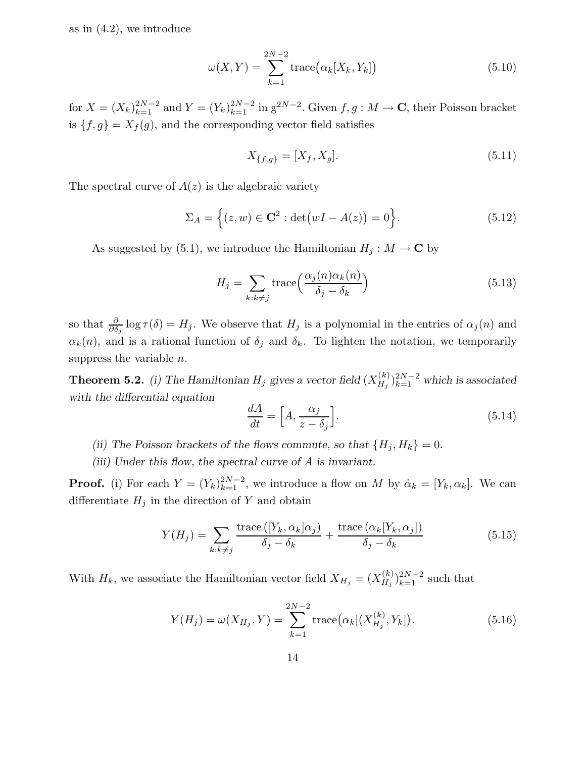as in  $(4.2)$ , we introduce

$$
\omega(X,Y) = \sum_{k=1}^{2N-2} \text{trace}(\alpha_k[X_k, Y_k]) \tag{5.10}
$$

for  $X = (X_k)_{k=1}^{2N-2}$  and  $Y = (Y_k)_{k=1}^{2N-2}$  in  $g^{2N-2}$ . Given  $f, g: M \to \mathbb{C}$ , their Poisson bracket is  $\{f, g\} = X_f(g)$ , and the corresponding vector field satisfies

$$
X_{\{f,g\}} = [X_f, X_g].
$$
\n(5.11)

The spectral curve of  $A(z)$  is the algebraic variety

$$
\Sigma_A = \left\{ (z, w) \in \mathbf{C}^2 : \det(wI - A(z)) = 0 \right\}.
$$
\n
$$
(5.12)
$$

As suggested by (5.1), we introduce the Hamiltonian  $H_j : M \to \mathbb{C}$  by

$$
H_j = \sum_{k:k \neq j} \text{trace}\left(\frac{\alpha_j(n)\alpha_k(n)}{\delta_j - \delta_k}\right) \tag{5.13}
$$

so that  $\frac{\partial}{\partial \delta_j} \log \tau(\delta) = H_j$ . We observe that  $H_j$  is a polynomial in the entries of  $\alpha_j(n)$  and  $\alpha_k(n)$ , and is a rational function of  $\delta_j$  and  $\delta_k$ . To lighten the notation, we temporarily suppress the variable  $n$ .

**Theorem 5.2.** (i) The Hamiltonian  $H_j$  gives a vector field  $(X_{H_j}^{(k)})$  $\binom{k}{H_j}$  $\binom{2N-2}{k=1}$  which is associated with the differential equation

$$
\frac{dA}{dt} = \left[A, \frac{\alpha_j}{z - \delta_j}\right].\tag{5.14}
$$

- (ii) The Poisson brackets of the flows commute, so that  $\{H_j, H_k\} = 0$ .
- (iii) Under this flow, the spectral curve of A is invariant.

**Proof.** (i) For each  $Y = (Y_k)_{k=1}^{2N-2}$ , we introduce a flow on M by  $\dot{\alpha}_k = [Y_k, \alpha_k]$ . We can differentiate  $H_j$  in the direction of Y and obtain

$$
Y(H_j) = \sum_{k:k \neq j} \frac{\text{trace}\left([Y_k, \alpha_k | \alpha_j\right)}{\delta_j - \delta_k} + \frac{\text{trace}\left(\alpha_k [Y_k, \alpha_j]\right)}{\delta_j - \delta_k} \tag{5.15}
$$

With  $H_k$ , we associate the Hamiltonian vector field  $X_{H_j} = (X_{H_j}^{(k)})$  $(H_j)^{2N-2}_{k=1}$  such that

$$
Y(H_j) = \omega(X_{H_j}, Y) = \sum_{k=1}^{2N-2} \text{trace}(\alpha_k[(X_{H_j}^{(k)}, Y_k]).
$$
\n(5.16)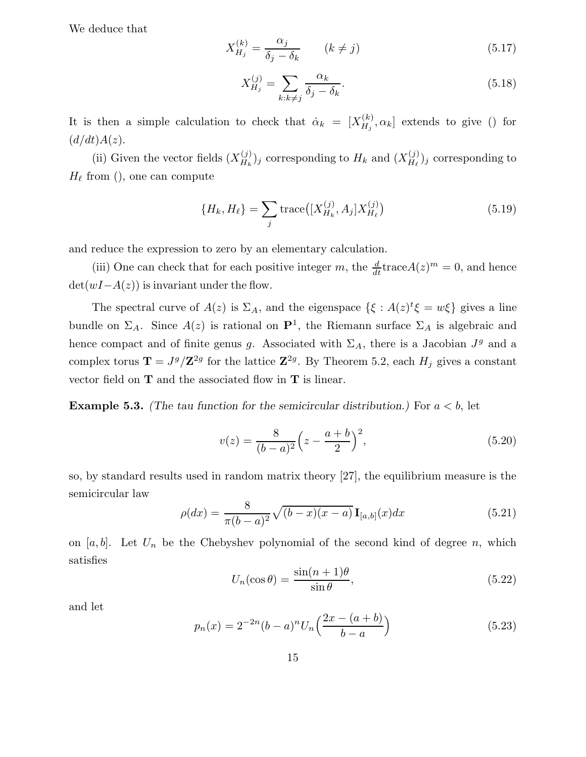We deduce that

$$
X_{H_j}^{(k)} = \frac{\alpha_j}{\delta_j - \delta_k} \qquad (k \neq j)
$$
\n(5.17)

$$
X_{H_j}^{(j)} = \sum_{k:k \neq j} \frac{\alpha_k}{\delta_j - \delta_k}.\tag{5.18}
$$

It is then a simple calculation to check that  $\dot{\alpha}_k = [X_{H_k}^{(k)}]$  $[H_j^{(k)}, \alpha_k]$  extends to give () for  $(d/dt)A(z).$ 

(ii) Given the vector fields  $(X_{H_k}^{(j)})$  $\binom{(j)}{H_k}$  corresponding to  $H_k$  and  $(X_{H_\ell}^{(j)})$  $\binom{J}{H_{\ell}}_j$  corresponding to  $H_{\ell}$  from (), one can compute

$$
\{H_k, H_\ell\} = \sum_j \text{trace}\big( [X_{H_k}^{(j)}, A_j] X_{H_\ell}^{(j)} \big) \tag{5.19}
$$

and reduce the expression to zero by an elementary calculation.

(iii) One can check that for each positive integer m, the  $\frac{d}{dt} \text{trace} A(z)^m = 0$ , and hence  $\det(wI-A(z))$  is invariant under the flow.

The spectral curve of  $A(z)$  is  $\Sigma_A$ , and the eigenspace  $\{\xi : A(z)^t \xi = w\xi\}$  gives a line bundle on  $\Sigma_A$ . Since  $A(z)$  is rational on  $\mathbf{P}^1$ , the Riemann surface  $\Sigma_A$  is algebraic and hence compact and of finite genus g. Associated with  $\Sigma_A$ , there is a Jacobian  $J^g$  and a complex torus  $\mathbf{T} = J^g/\mathbf{Z}^{2g}$  for the lattice  $\mathbf{Z}^{2g}$ . By Theorem 5.2, each  $H_j$  gives a constant vector field on  $T$  and the associated flow in  $T$  is linear.

**Example 5.3.** (The tau function for the semicircular distribution.) For  $a < b$ , let

$$
v(z) = \frac{8}{(b-a)^2} \left(z - \frac{a+b}{2}\right)^2, \tag{5.20}
$$

so, by standard results used in random matrix theory [27], the equilibrium measure is the semicircular law

$$
\rho(dx) = \frac{8}{\pi(b-a)^2} \sqrt{(b-x)(x-a)} \mathbf{I}_{[a,b]}(x) dx \tag{5.21}
$$

on [a, b]. Let  $U_n$  be the Chebyshev polynomial of the second kind of degree n, which satisfies

$$
U_n(\cos \theta) = \frac{\sin(n+1)\theta}{\sin \theta},\tag{5.22}
$$

and let

$$
p_n(x) = 2^{-2n}(b-a)^n U_n\left(\frac{2x - (a+b)}{b-a}\right)
$$
 (5.23)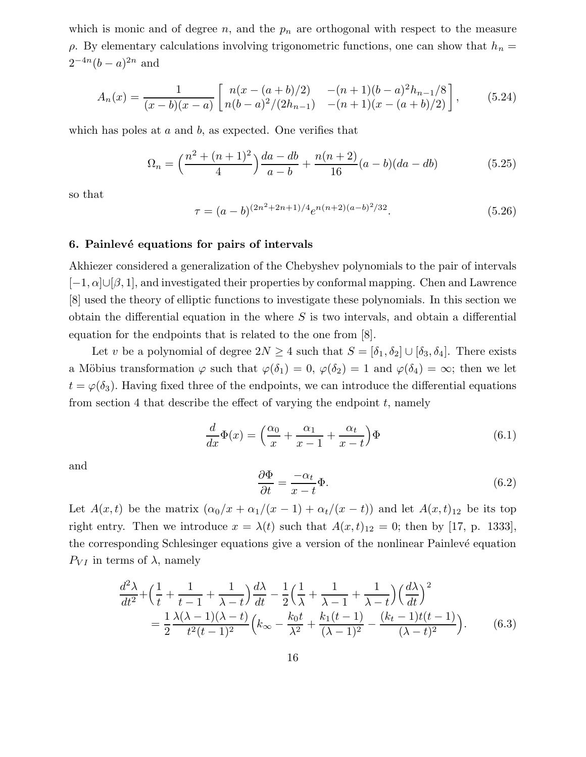which is monic and of degree  $n$ , and the  $p_n$  are orthogonal with respect to the measure  $ρ$ . By elementary calculations involving trigonometric functions, one can show that  $h_n =$  $2^{-4n}(b-a)^{2n}$  and

$$
A_n(x) = \frac{1}{(x-b)(x-a)} \begin{bmatrix} n(x-(a+b)/2) & -(n+1)(b-a)^2h_{n-1}/8\\ n(b-a)^2/(2h_{n-1}) & -(n+1)(x-(a+b)/2) \end{bmatrix},
$$
(5.24)

which has poles at  $a$  and  $b$ , as expected. One verifies that

$$
\Omega_n = \left(\frac{n^2 + (n+1)^2}{4}\right) \frac{da - db}{a - b} + \frac{n(n+2)}{16} (a - b)(da - db) \tag{5.25}
$$

so that

$$
\tau = (a - b)^{(2n^2 + 2n + 1)/4} e^{n(n+2)(a - b)^2/32}.
$$
\n(5.26)

#### 6. Painlevé equations for pairs of intervals

Akhiezer considered a generalization of the Chebyshev polynomials to the pair of intervals  $[-1, \alpha] \cup [\beta, 1]$ , and investigated their properties by conformal mapping. Chen and Lawrence [8] used the theory of elliptic functions to investigate these polynomials. In this section we obtain the differential equation in the where  $S$  is two intervals, and obtain a differential equation for the endpoints that is related to the one from [8].

Let v be a polynomial of degree  $2N \geq 4$  such that  $S = [\delta_1, \delta_2] \cup [\delta_3, \delta_4]$ . There exists a Möbius transformation  $\varphi$  such that  $\varphi(\delta_1) = 0$ ,  $\varphi(\delta_2) = 1$  and  $\varphi(\delta_4) = \infty$ ; then we let  $t = \varphi(\delta_3)$ . Having fixed three of the endpoints, we can introduce the differential equations from section 4 that describe the effect of varying the endpoint  $t$ , namely

$$
\frac{d}{dx}\Phi(x) = \left(\frac{\alpha_0}{x} + \frac{\alpha_1}{x-1} + \frac{\alpha_t}{x-t}\right)\Phi\tag{6.1}
$$

and

$$
\frac{\partial \Phi}{\partial t} = \frac{-\alpha_t}{x - t} \Phi.
$$
\n(6.2)

Let  $A(x,t)$  be the matrix  $(\alpha_0/x + \alpha_1/(x-1) + \alpha_t/(x-t))$  and let  $A(x,t)_{12}$  be its top right entry. Then we introduce  $x = \lambda(t)$  such that  $A(x,t)_{12} = 0$ ; then by [17, p. 1333], the corresponding Schlesinger equations give a version of the nonlinear Painlevé equation  $P_{VI}$  in terms of  $\lambda$ , namely

$$
\frac{d^2\lambda}{dt^2} + \left(\frac{1}{t} + \frac{1}{t-1} + \frac{1}{\lambda - t}\right)\frac{d\lambda}{dt} - \frac{1}{2}\left(\frac{1}{\lambda} + \frac{1}{\lambda - 1} + \frac{1}{\lambda - t}\right)\left(\frac{d\lambda}{dt}\right)^2
$$

$$
= \frac{1}{2}\frac{\lambda(\lambda - 1)(\lambda - t)}{t^2(t-1)^2}\left(k_\infty - \frac{k_0t}{\lambda^2} + \frac{k_1(t-1)}{(\lambda - 1)^2} - \frac{(k_t - 1)t(t-1)}{(\lambda - t)^2}\right). \tag{6.3}
$$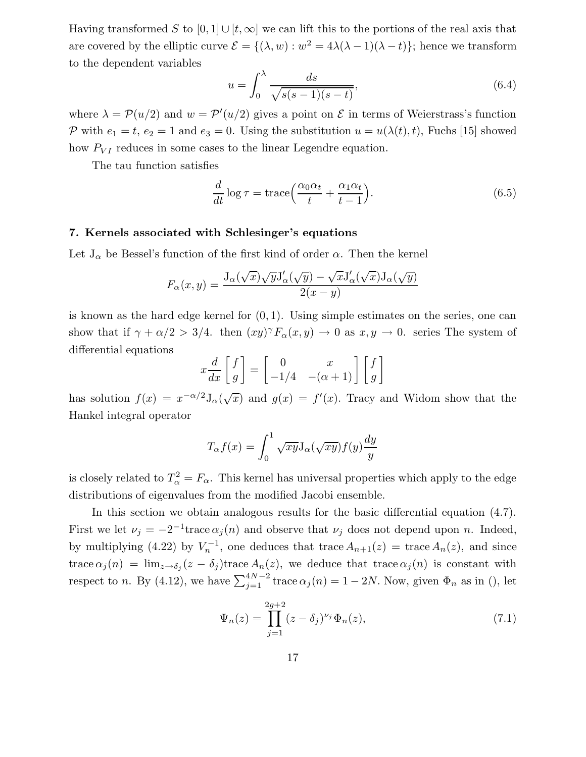Having transformed S to  $[0, 1] \cup [t, \infty]$  we can lift this to the portions of the real axis that are covered by the elliptic curve  $\mathcal{E} = \{(\lambda, w) : w^2 = 4\lambda(\lambda - 1)(\lambda - t)\}\;$  hence we transform to the dependent variables

$$
u = \int_0^\lambda \frac{ds}{\sqrt{s(s-1)(s-t)}},\tag{6.4}
$$

where  $\lambda = \mathcal{P}(u/2)$  and  $w = \mathcal{P}'(u/2)$  gives a point on  $\mathcal E$  in terms of Weierstrass's function P with  $e_1 = t$ ,  $e_2 = 1$  and  $e_3 = 0$ . Using the substitution  $u = u(\lambda(t), t)$ , Fuchs [15] showed how  $P_{VI}$  reduces in some cases to the linear Legendre equation.

The tau function satisfies

$$
\frac{d}{dt}\log\tau = \text{trace}\left(\frac{\alpha_0\alpha_t}{t} + \frac{\alpha_1\alpha_t}{t-1}\right).
$$
\n(6.5)

# 7. Kernels associated with Schlesinger's equations

Let  $J_{\alpha}$  be Bessel's function of the first kind of order  $\alpha$ . Then the kernel

$$
F_{\alpha}(x,y) = \frac{J_{\alpha}(\sqrt{x})\sqrt{y}J'_{\alpha}(\sqrt{y}) - \sqrt{x}J'_{\alpha}(\sqrt{x})J_{\alpha}(\sqrt{y})}{2(x-y)}
$$

is known as the hard edge kernel for  $(0, 1)$ . Using simple estimates on the series, one can show that if  $\gamma + \alpha/2 > 3/4$ . then  $(xy)^{\gamma} F_{\alpha}(x, y) \to 0$  as  $x, y \to 0$ . series The system of differential equations

$$
x\frac{d}{dx}\begin{bmatrix} f \\ g \end{bmatrix} = \begin{bmatrix} 0 & x \\ -1/4 & -(\alpha+1) \end{bmatrix} \begin{bmatrix} f \\ g \end{bmatrix}
$$

has solution  $f(x) = x^{-\alpha/2} J_{\alpha}(\sqrt{x})$  and  $g(x) = f'(x)$ . Tracy and Widom show that the Hankel integral operator

$$
T_{\alpha}f(x) = \int_0^1 \sqrt{xy} J_{\alpha}(\sqrt{xy}) f(y) \frac{dy}{y}
$$

is closely related to  $T_{\alpha}^2 = F_{\alpha}$ . This kernel has universal properties which apply to the edge distributions of eigenvalues from the modified Jacobi ensemble.

In this section we obtain analogous results for the basic differential equation (4.7). First we let  $\nu_j = -2^{-1}$ trace  $\alpha_j(n)$  and observe that  $\nu_j$  does not depend upon n. Indeed, by multiplying (4.22) by  $V_n^{-1}$ , one deduces that trace  $A_{n+1}(z) = \text{trace } A_n(z)$ , and since trace  $\alpha_j(n) = \lim_{z \to \delta_j} (z - \delta_j)$ trace  $A_n(z)$ , we deduce that trace  $\alpha_j(n)$  is constant with respect to *n*. By (4.12), we have  $\sum_{j=1}^{4N-2}$  trace  $\alpha_j(n) = 1 - 2N$ . Now, given  $\Phi_n$  as in (), let

$$
\Psi_n(z) = \prod_{j=1}^{2g+2} (z - \delta_j)^{\nu_j} \Phi_n(z),\tag{7.1}
$$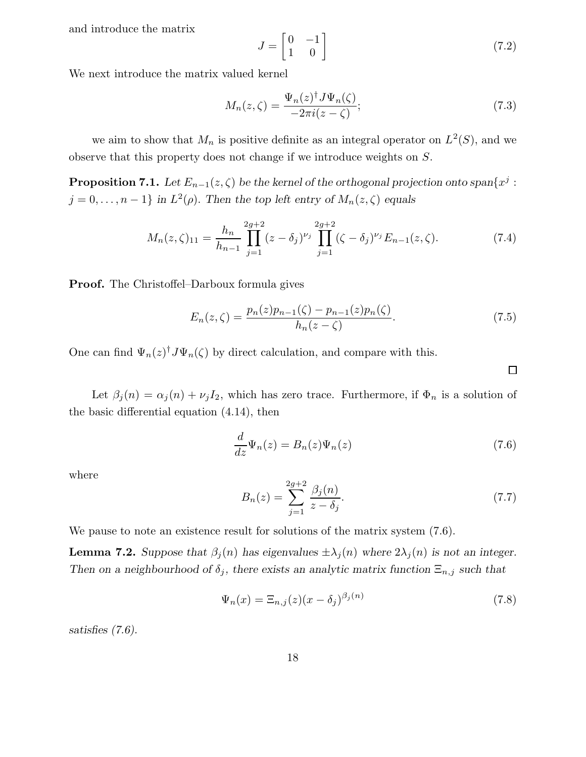and introduce the matrix

$$
J = \begin{bmatrix} 0 & -1 \\ 1 & 0 \end{bmatrix} \tag{7.2}
$$

We next introduce the matrix valued kernel

$$
M_n(z,\zeta) = \frac{\Psi_n(z)^\dagger J \Psi_n(\zeta)}{-2\pi i(z-\zeta)};\tag{7.3}
$$

we aim to show that  $M_n$  is positive definite as an integral operator on  $L^2(S)$ , and we observe that this property does not change if we introduce weights on S.

**Proposition 7.1.** Let  $E_{n-1}(z,\zeta)$  be the kernel of the orthogonal projection onto  $\text{span}\{x^j:$  $j = 0, \ldots, n - 1$  in  $L^2(\rho)$ . Then the top left entry of  $M_n(z, \zeta)$  equals

$$
M_n(z,\zeta)_{11} = \frac{h_n}{h_{n-1}} \prod_{j=1}^{2g+2} (z-\delta_j)^{\nu_j} \prod_{j=1}^{2g+2} (\zeta-\delta_j)^{\nu_j} E_{n-1}(z,\zeta). \tag{7.4}
$$

Proof. The Christoffel–Darboux formula gives

$$
E_n(z,\zeta) = \frac{p_n(z)p_{n-1}(\zeta) - p_{n-1}(z)p_n(\zeta)}{h_n(z-\zeta)}.
$$
\n(7.5)

One can find  $\Psi_n(z)^{\dagger} J \Psi_n(\zeta)$  by direct calculation, and compare with this.

Let  $\beta_j(n) = \alpha_j(n) + \nu_j I_2$ , which has zero trace. Furthermore, if  $\Phi_n$  is a solution of the basic differential equation (4.14), then

$$
\frac{d}{dz}\Psi_n(z) = B_n(z)\Psi_n(z)
$$
\n(7.6)

where

$$
B_n(z) = \sum_{j=1}^{2g+2} \frac{\beta_j(n)}{z - \delta_j}.
$$
 (7.7)

We pause to note an existence result for solutions of the matrix system  $(7.6)$ .

**Lemma 7.2.** Suppose that  $\beta_j(n)$  has eigenvalues  $\pm \lambda_j(n)$  where  $2\lambda_j(n)$  is not an integer. Then on a neighbourhood of  $\delta_j$ , there exists an analytic matrix function  $\Xi_{n,j}$  such that

$$
\Psi_n(x) = \Xi_{n,j}(z)(x - \delta_j)^{\beta_j(n)}\tag{7.8}
$$

satisfies (7.6).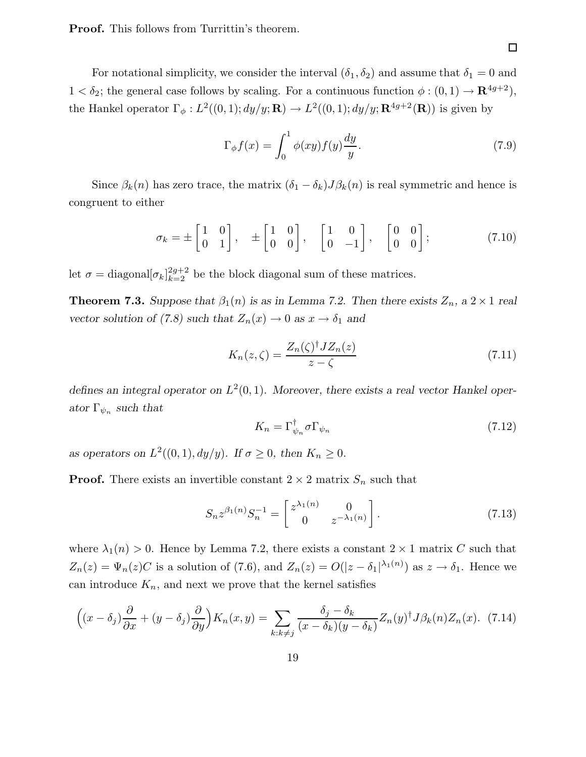Proof. This follows from Turrittin's theorem.

For notational simplicity, we consider the interval  $(\delta_1, \delta_2)$  and assume that  $\delta_1 = 0$  and  $1 < \delta_2$ ; the general case follows by scaling. For a continuous function  $\phi : (0,1) \to \mathbf{R}^{4g+2}$ , the Hankel operator  $\Gamma_{\phi}: L^2((0,1); dy/y; \mathbf{R}) \to L^2((0,1); dy/y; \mathbf{R}^{4g+2}(\mathbf{R}))$  is given by

$$
\Gamma_{\phi} f(x) = \int_0^1 \phi(xy) f(y) \frac{dy}{y}.
$$
\n(7.9)

Since  $\beta_k(n)$  has zero trace, the matrix  $(\delta_1 - \delta_k)J\beta_k(n)$  is real symmetric and hence is congruent to either

$$
\sigma_k = \pm \begin{bmatrix} 1 & 0 \\ 0 & 1 \end{bmatrix}, \quad \pm \begin{bmatrix} 1 & 0 \\ 0 & 0 \end{bmatrix}, \quad \begin{bmatrix} 1 & 0 \\ 0 & -1 \end{bmatrix}, \quad \begin{bmatrix} 0 & 0 \\ 0 & 0 \end{bmatrix}; \tag{7.10}
$$

let  $\sigma = \text{diagonal}[\sigma_k]_{k=2}^{2g+2}$  be the block diagonal sum of these matrices.

**Theorem 7.3.** Suppose that  $\beta_1(n)$  is as in Lemma 7.2. Then there exists  $Z_n$ , a  $2 \times 1$  real vector solution of (7.8) such that  $Z_n(x) \to 0$  as  $x \to \delta_1$  and

$$
K_n(z,\zeta) = \frac{Z_n(\zeta)^\dagger J Z_n(z)}{z-\zeta} \tag{7.11}
$$

defines an integral operator on  $L^2(0,1)$ . Moreover, there exists a real vector Hankel operator  $\Gamma_{\psi_n}$  such that

$$
K_n = \Gamma_{\psi_n}^{\dagger} \sigma \Gamma_{\psi_n} \tag{7.12}
$$

as operators on  $L^2((0,1), dy/y)$ . If  $\sigma \ge 0$ , then  $K_n \ge 0$ .

**Proof.** There exists an invertible constant  $2 \times 2$  matrix  $S_n$  such that

$$
S_n z^{\beta_1(n)} S_n^{-1} = \begin{bmatrix} z^{\lambda_1(n)} & 0\\ 0 & z^{-\lambda_1(n)} \end{bmatrix} . \tag{7.13}
$$

where  $\lambda_1(n) > 0$ . Hence by Lemma 7.2, there exists a constant  $2 \times 1$  matrix C such that  $Z_n(z) = \Psi_n(z)C$  is a solution of (7.6), and  $Z_n(z) = O(|z - \delta_1|^{\lambda_1(n)})$  as  $z \to \delta_1$ . Hence we can introduce  $K_n$ , and next we prove that the kernel satisfies

$$
\left((x-\delta_j)\frac{\partial}{\partial x} + (y-\delta_j)\frac{\partial}{\partial y}\right)K_n(x,y) = \sum_{k:k\neq j} \frac{\delta_j - \delta_k}{(x-\delta_k)(y-\delta_k)} Z_n(y)^\dagger J\beta_k(n) Z_n(x). \tag{7.14}
$$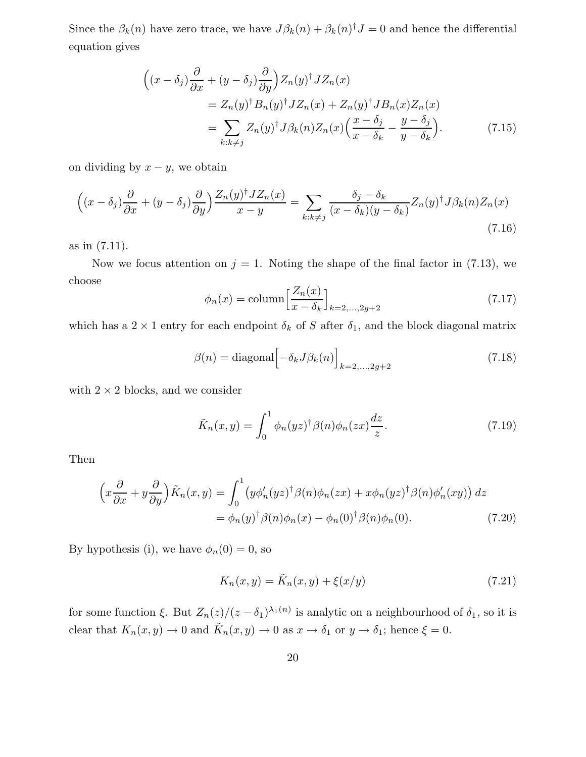Since the  $\beta_k(n)$  have zero trace, we have  $J\beta_k(n) + \beta_k(n)^\dagger J = 0$  and hence the differential equation gives

$$
\begin{split}\n\left( (x - \delta_j) \frac{\partial}{\partial x} + (y - \delta_j) \frac{\partial}{\partial y} \right) Z_n(y)^\dagger J Z_n(x) \\
&= Z_n(y)^\dagger B_n(y)^\dagger J Z_n(x) + Z_n(y)^\dagger J B_n(x) Z_n(x) \\
&= \sum_{k: k \neq j} Z_n(y)^\dagger J \beta_k(n) Z_n(x) \Big( \frac{x - \delta_j}{x - \delta_k} - \frac{y - \delta_j}{y - \delta_k} \Big). \n\end{split} \tag{7.15}
$$

on dividing by  $x - y$ , we obtain

$$
\left( (x - \delta_j) \frac{\partial}{\partial x} + (y - \delta_j) \frac{\partial}{\partial y} \right) \frac{Z_n(y)^\dagger J Z_n(x)}{x - y} = \sum_{k: k \neq j} \frac{\delta_j - \delta_k}{(x - \delta_k)(y - \delta_k)} Z_n(y)^\dagger J \beta_k(n) Z_n(x) \tag{7.16}
$$

as in (7.11).

Now we focus attention on  $j = 1$ . Noting the shape of the final factor in (7.13), we choose

$$
\phi_n(x) = \text{column} \left[ \frac{Z_n(x)}{x - \delta_k} \right]_{k=2,\dots,2g+2} \tag{7.17}
$$

which has a  $2 \times 1$  entry for each endpoint  $\delta_k$  of S after  $\delta_1$ , and the block diagonal matrix

$$
\beta(n) = \text{diagonal}\left[-\delta_k J \beta_k(n)\right]_{k=2,\dots,2g+2}
$$
\n(7.18)

with  $2 \times 2$  blocks, and we consider

$$
\tilde{K}_n(x,y) = \int_0^1 \phi_n(yz)^\dagger \beta(n) \phi_n(zx) \frac{dz}{z}.
$$
\n(7.19)

Then

$$
\left(x\frac{\partial}{\partial x} + y\frac{\partial}{\partial y}\right)\tilde{K}_n(x,y) = \int_0^1 \left(y\phi_n'(yz)^\dagger\beta(n)\phi_n(zx) + x\phi_n(yz)^\dagger\beta(n)\phi_n'(xy)\right)dz
$$
  
=  $\phi_n(y)^\dagger\beta(n)\phi_n(x) - \phi_n(0)^\dagger\beta(n)\phi_n(0).$  (7.20)

By hypothesis (i), we have  $\phi_n(0) = 0$ , so

$$
K_n(x, y) = \tilde{K}_n(x, y) + \xi(x/y)
$$
\n(7.21)

for some function  $\xi$ . But  $Z_n(z)/(z-\delta_1)^{\lambda_1(n)}$  is analytic on a neighbourhood of  $\delta_1$ , so it is clear that  $K_n(x, y) \to 0$  and  $\tilde{K}_n(x, y) \to 0$  as  $x \to \delta_1$  or  $y \to \delta_1$ ; hence  $\xi = 0$ .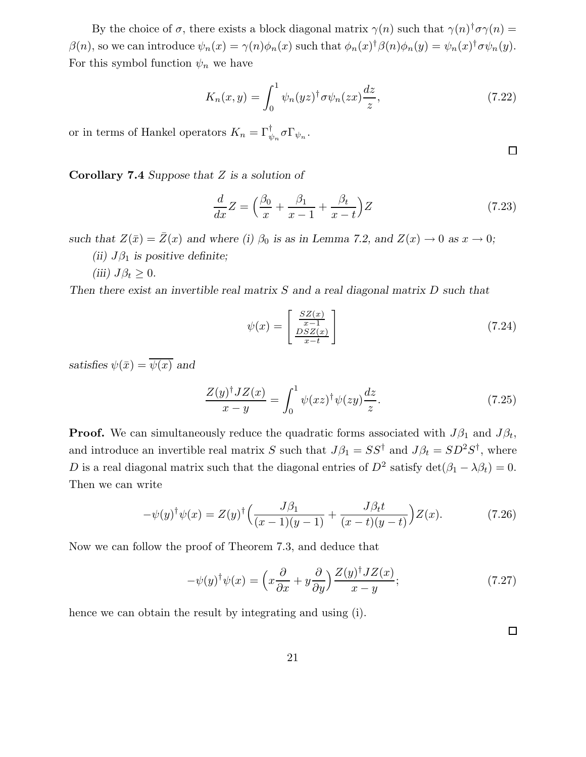By the choice of  $\sigma$ , there exists a block diagonal matrix  $\gamma(n)$  such that  $\gamma(n)^\dagger \sigma \gamma(n) =$  $\beta(n)$ , so we can introduce  $\psi_n(x) = \gamma(n)\phi_n(x)$  such that  $\phi_n(x)^\dagger \beta(n)\phi_n(y) = \psi_n(x)^\dagger \sigma \psi_n(y)$ . For this symbol function  $\psi_n$  we have

$$
K_n(x,y) = \int_0^1 \psi_n(yz)^\dagger \sigma \psi_n(zx) \frac{dz}{z},\tag{7.22}
$$

or in terms of Hankel operators  $K_n = \Gamma_{\psi_n}^{\dagger} \sigma \Gamma_{\psi_n}$ .

**Corollary 7.4** Suppose that  $Z$  is a solution of

$$
\frac{d}{dx}Z = \left(\frac{\beta_0}{x} + \frac{\beta_1}{x-1} + \frac{\beta_t}{x-t}\right)Z\tag{7.23}
$$

such that  $Z(\bar{x}) = \bar{Z}(x)$  and where (i)  $\beta_0$  is as in Lemma 7.2, and  $Z(x) \to 0$  as  $x \to 0$ ;

- (ii)  $J\beta_1$  is positive definite;
- (iii)  $J\beta_t \geq 0$ .

Then there exist an invertible real matrix S and a real diagonal matrix D such that

$$
\psi(x) = \begin{bmatrix} \frac{SZ(x)}{x-1} \\ \frac{DSZ(x)}{x-t} \end{bmatrix}
$$
\n(7.24)

satisfies  $\psi(\bar{x}) = \overline{\psi(x)}$  and

$$
\frac{Z(y)^\dagger JZ(x)}{x-y} = \int_0^1 \psi(xz)^\dagger \psi(zy) \frac{dz}{z}.
$$
 (7.25)

**Proof.** We can simultaneously reduce the quadratic forms associated with  $J\beta_1$  and  $J\beta_t$ , and introduce an invertible real matrix S such that  $J\beta_1 = SS^{\dagger}$  and  $J\beta_t = SD^2S^{\dagger}$ , where D is a real diagonal matrix such that the diagonal entries of  $D^2$  satisfy  $\det(\beta_1 - \lambda \beta_t) = 0$ . Then we can write

$$
-\psi(y)^{\dagger}\psi(x) = Z(y)^{\dagger}\left(\frac{J\beta_1}{(x-1)(y-1)} + \frac{J\beta_t t}{(x-t)(y-t)}\right)Z(x).
$$
 (7.26)

Now we can follow the proof of Theorem 7.3, and deduce that

$$
-\psi(y)^{\dagger}\psi(x) = \left(x\frac{\partial}{\partial x} + y\frac{\partial}{\partial y}\right)\frac{Z(y)^{\dagger}JZ(x)}{x - y};
$$
\n(7.27)

hence we can obtain the result by integrating and using (i).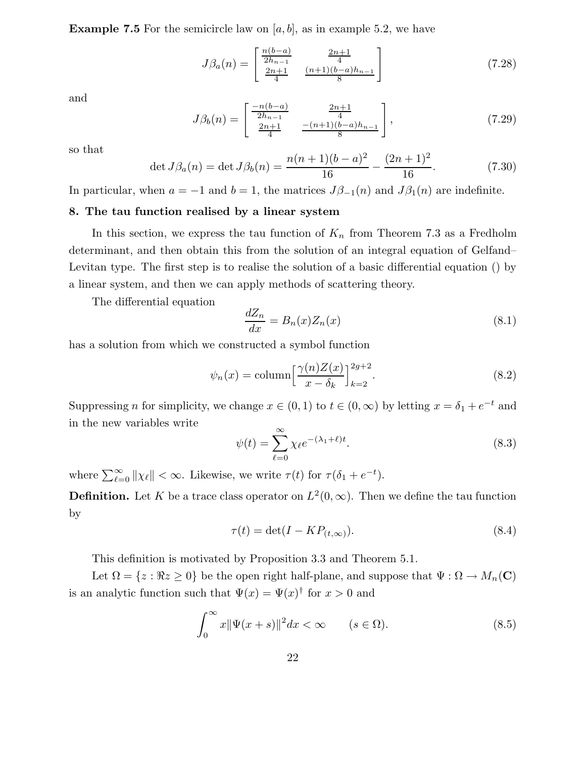**Example 7.5** For the semicircle law on  $[a, b]$ , as in example 5.2, we have

$$
J\beta_a(n) = \begin{bmatrix} \frac{n(b-a)}{2h_{n-1}} & \frac{2n+1}{4} \\ \frac{2n+1}{4} & \frac{(n+1)(b-a)h_{n-1}}{8} \end{bmatrix}
$$
 (7.28)

and

$$
J\beta_b(n) = \begin{bmatrix} \frac{-n(b-a)}{2h_{n-1}} & \frac{2n+1}{4} \\ \frac{2n+1}{4} & \frac{-(n+1)(b-a)h_{n-1}}{8} \end{bmatrix},
$$
(7.29)

so that

$$
\det J\beta_a(n) = \det J\beta_b(n) = \frac{n(n+1)(b-a)^2}{16} - \frac{(2n+1)^2}{16}.
$$
 (7.30)

In particular, when  $a = -1$  and  $b = 1$ , the matrices  $J\beta_{-1}(n)$  and  $J\beta_1(n)$  are indefinite.

# 8. The tau function realised by a linear system

In this section, we express the tau function of  $K_n$  from Theorem 7.3 as a Fredholm determinant, and then obtain this from the solution of an integral equation of Gelfand– Levitan type. The first step is to realise the solution of a basic differential equation () by a linear system, and then we can apply methods of scattering theory.

The differential equation

$$
\frac{dZ_n}{dx} = B_n(x)Z_n(x) \tag{8.1}
$$

has a solution from which we constructed a symbol function

$$
\psi_n(x) = \text{column} \left[ \frac{\gamma(n)Z(x)}{x - \delta_k} \right]_{k=2}^{2g+2}.
$$
\n(8.2)

Suppressing *n* for simplicity, we change  $x \in (0, 1)$  to  $t \in (0, \infty)$  by letting  $x = \delta_1 + e^{-t}$  and in the new variables write

$$
\psi(t) = \sum_{\ell=0}^{\infty} \chi_{\ell} e^{-(\lambda_1 + \ell)t}.
$$
\n(8.3)

where  $\sum_{\ell=0}^{\infty} ||\chi_{\ell}|| < \infty$ . Likewise, we write  $\tau(t)$  for  $\tau(\delta_1 + e^{-t})$ .

**Definition.** Let K be a trace class operator on  $L^2(0,\infty)$ . Then we define the tau function by

$$
\tau(t) = \det(I - KP_{(t,\infty)}).
$$
\n(8.4)

This definition is motivated by Proposition 3.3 and Theorem 5.1.

Let  $\Omega = \{z : \Re z \ge 0\}$  be the open right half-plane, and suppose that  $\Psi : \Omega \to M_n(\mathbf{C})$ is an analytic function such that  $\Psi(x) = \Psi(x)^\dagger$  for  $x > 0$  and

$$
\int_0^\infty x \|\Psi(x+s)\|^2 dx < \infty \qquad (s \in \Omega). \tag{8.5}
$$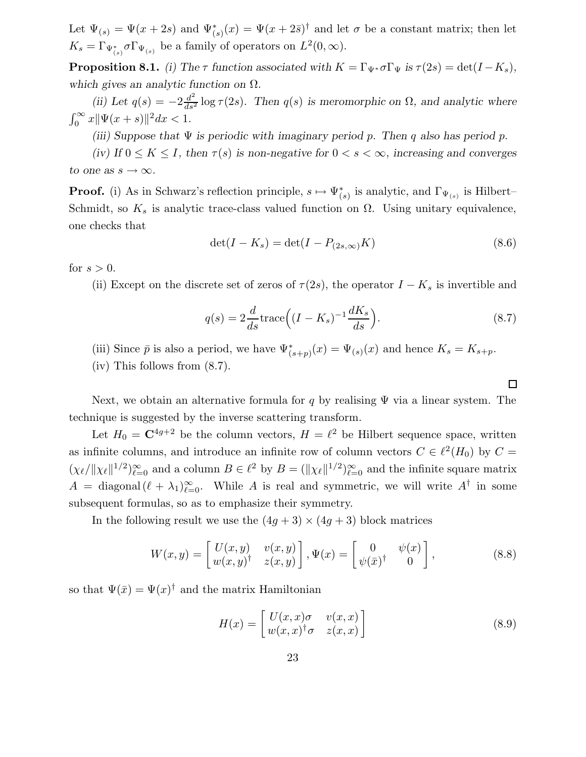Let  $\Psi_{(s)} = \Psi(x+2s)$  and  $\Psi_{(s)}^*(x) = \Psi(x+2\bar{s})^{\dagger}$  and let  $\sigma$  be a constant matrix; then let  $K_s = \Gamma_{\Psi^*_{(s)}} \sigma \Gamma_{\Psi_{(s)}}$  be a family of operators on  $L^2(0, \infty)$ .

**Proposition 8.1.** (i) The  $\tau$  function associated with  $K = \Gamma_{\Psi^*} \sigma \Gamma_{\Psi}$  is  $\tau(2s) = \det(I - K_s)$ , which gives an analytic function on  $\Omega$ .

(ii) Let  $q(s) = -2\frac{d^2}{ds^2} \log \tau(2s)$ . Then  $q(s)$  is meromorphic on  $\Omega$ , and analytic where  $\int_0^\infty x \|\Psi(x+s)\|^2 dx < 1.$ 

(iii) Suppose that  $\Psi$  is periodic with imaginary period p. Then q also has period p.

(iv) If  $0 \leq K \leq I$ , then  $\tau(s)$  is non-negative for  $0 < s < \infty$ , increasing and converges to one as  $s \to \infty$ .

**Proof.** (i) As in Schwarz's reflection principle,  $s \mapsto \Psi^*_{(s)}$  is analytic, and  $\Gamma_{\Psi_{(s)}}$  is Hilbert– Schmidt, so  $K_s$  is analytic trace-class valued function on  $\Omega$ . Using unitary equivalence, one checks that

$$
\det(I - K_s) = \det(I - P_{(2s,\infty)}K) \tag{8.6}
$$

for  $s > 0$ .

(ii) Except on the discrete set of zeros of  $\tau(2s)$ , the operator  $I - K_s$  is invertible and

$$
q(s) = 2\frac{d}{ds}\text{trace}\left((I - K_s)^{-1}\frac{dK_s}{ds}\right). \tag{8.7}
$$

 $\Box$ 

- (iii) Since  $\bar{p}$  is also a period, we have  $\Psi^*_{(s+p)}(x) = \Psi_{(s)}(x)$  and hence  $K_s = K_{s+p}$ .
- (iv) This follows from (8.7).

Next, we obtain an alternative formula for q by realising  $\Psi$  via a linear system. The technique is suggested by the inverse scattering transform.

Let  $H_0 = \mathbb{C}^{4g+2}$  be the column vectors,  $H = \ell^2$  be Hilbert sequence space, written as infinite columns, and introduce an infinite row of column vectors  $C \in \ell^2(H_0)$  by  $C =$  $(\chi_{\ell}/\|\chi_{\ell}\|^{1/2})_{\ell=0}^{\infty}$  and a column  $B \in {\ell}^2$  by  $B = (\|\chi_{\ell}\|^{1/2})_{\ell=0}^{\infty}$  and the infinite square matrix  $A = \text{diagonal}(\ell + \lambda_1)_{\ell=0}^{\infty}$ . While A is real and symmetric, we will write  $A^{\dagger}$  in some subsequent formulas, so as to emphasize their symmetry.

In the following result we use the  $(4g + 3) \times (4g + 3)$  block matrices

$$
W(x,y) = \begin{bmatrix} U(x,y) & v(x,y) \\ w(x,y)^\dagger & z(x,y) \end{bmatrix}, \Psi(x) = \begin{bmatrix} 0 & \psi(x) \\ \psi(\bar{x})^\dagger & 0 \end{bmatrix},
$$
(8.8)

so that  $\Psi(\bar{x}) = \Psi(x)^{\dagger}$  and the matrix Hamiltonian

$$
H(x) = \begin{bmatrix} U(x,x)\sigma & v(x,x) \\ w(x,x)^\dagger \sigma & z(x,x) \end{bmatrix}
$$
 (8.9)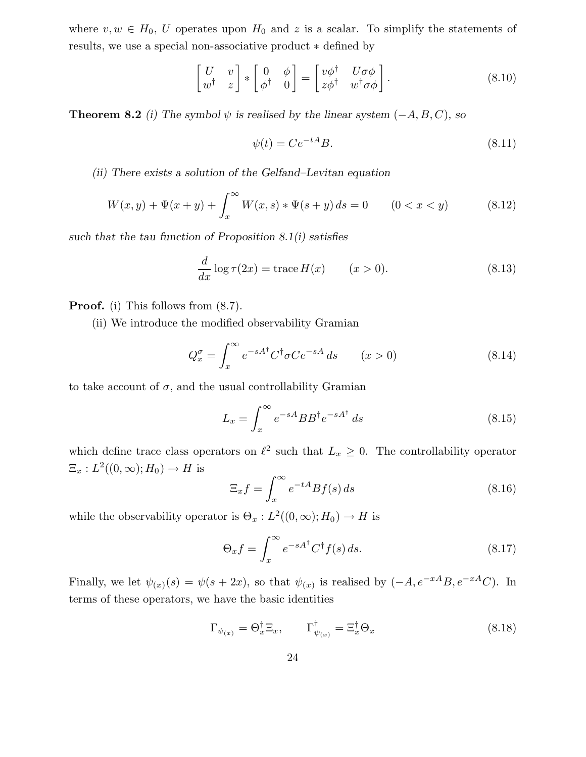where  $v, w \in H_0$ , U operates upon  $H_0$  and z is a scalar. To simplify the statements of results, we use a special non-associative product ∗ defined by

$$
\begin{bmatrix} U & v \\ w^{\dagger} & z \end{bmatrix} * \begin{bmatrix} 0 & \phi \\ \phi^{\dagger} & 0 \end{bmatrix} = \begin{bmatrix} v\phi^{\dagger} & U\sigma\phi \\ z\phi^{\dagger} & w^{\dagger}\sigma\phi \end{bmatrix}.
$$
 (8.10)

**Theorem 8.2** (i) The symbol  $\psi$  is realised by the linear system  $(-A, B, C)$ , so

$$
\psi(t) = Ce^{-tA}B.\tag{8.11}
$$

(ii) There exists a solution of the Gelfand–Levitan equation

$$
W(x, y) + \Psi(x + y) + \int_{x}^{\infty} W(x, s) * \Psi(s + y) ds = 0 \qquad (0 < x < y)
$$
 (8.12)

such that the tau function of Proposition  $8.1(i)$  satisfies

$$
\frac{d}{dx}\log \tau(2x) = \text{trace}\,H(x) \qquad (x>0). \tag{8.13}
$$

Proof. (i) This follows from (8.7).

(ii) We introduce the modified observability Gramian

$$
Q_x^{\sigma} = \int_x^{\infty} e^{-sA^{\dagger}} C^{\dagger} \sigma C e^{-sA} ds \qquad (x > 0)
$$
 (8.14)

to take account of  $\sigma$ , and the usual controllability Gramian

$$
L_x = \int_x^{\infty} e^{-sA} BB^{\dagger} e^{-sA^{\dagger}} ds \qquad (8.15)
$$

which define trace class operators on  $\ell^2$  such that  $L_x \geq 0$ . The controllability operator  $\Xi_x: L^2((0,\infty);H_0)\to H$  is

$$
\Xi_x f = \int_x^{\infty} e^{-tA} Bf(s) \, ds \tag{8.16}
$$

while the observability operator is  $\Theta_x : L^2((0,\infty);H_0) \to H$  is

$$
\Theta_x f = \int_x^{\infty} e^{-sA^{\dagger}} C^{\dagger} f(s) ds.
$$
 (8.17)

Finally, we let  $\psi(x)(s) = \psi(s + 2x)$ , so that  $\psi(x)$  is realised by  $(-A, e^{-xA}B, e^{-xA}C)$ . In terms of these operators, we have the basic identities

$$
\Gamma_{\psi_{(x)}} = \Theta_x^{\dagger} \Xi_x, \qquad \Gamma_{\psi_{(x)}}^{\dagger} = \Xi_x^{\dagger} \Theta_x \tag{8.18}
$$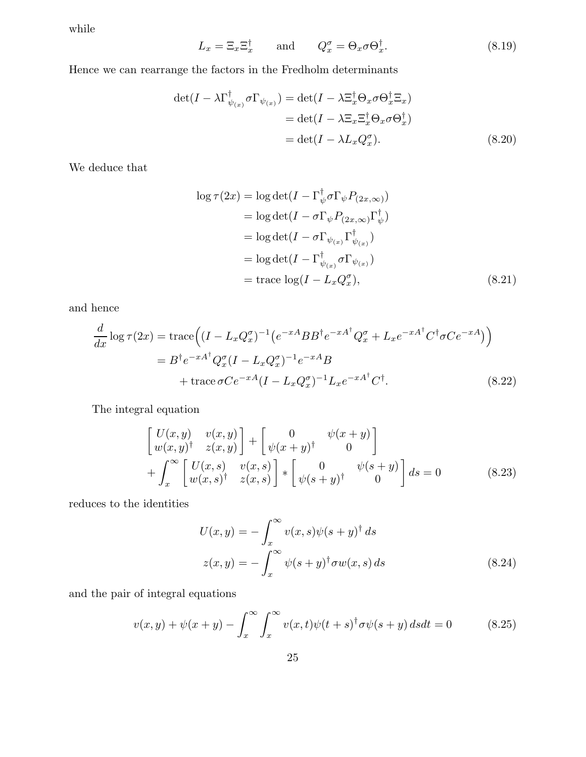while

$$
L_x = \Xi_x \Xi_x^{\dagger} \quad \text{and} \quad Q_x^{\sigma} = \Theta_x \sigma \Theta_x^{\dagger}.
$$
 (8.19)

Hence we can rearrange the factors in the Fredholm determinants

$$
\det(I - \lambda \Gamma^{\dagger}_{\psi_{(x)}} \sigma \Gamma_{\psi_{(x)}}) = \det(I - \lambda \Xi^{\dagger}_x \Theta_x \sigma \Theta^{\dagger}_x \Xi_x)
$$
  
= 
$$
\det(I - \lambda \Xi_x \Xi^{\dagger}_x \Theta_x \sigma \Theta^{\dagger}_x)
$$
  
= 
$$
\det(I - \lambda L_x Q_x^{\sigma}). \tag{8.20}
$$

We deduce that

$$
\log \tau(2x) = \log \det(I - \Gamma_{\psi}^{\dagger} \sigma \Gamma_{\psi} P_{(2x,\infty)})
$$
  
\n
$$
= \log \det(I - \sigma \Gamma_{\psi} P_{(2x,\infty)} \Gamma_{\psi}^{\dagger})
$$
  
\n
$$
= \log \det(I - \sigma \Gamma_{\psi_{(x)}} \Gamma_{\psi_{(x)}}^{\dagger})
$$
  
\n
$$
= \log \det(I - \Gamma_{\psi_{(x)}}^{\dagger} \sigma \Gamma_{\psi_{(x)}})
$$
  
\n
$$
= \operatorname{trace} \log(I - L_x Q_x^{\sigma}), \qquad (8.21)
$$

and hence

$$
\frac{d}{dx}\log \tau(2x) = \text{trace}\Big((I - L_x Q_x^{\sigma})^{-1} \left(e^{-xA}BB^{\dagger}e^{-xA^{\dagger}}Q_x^{\sigma} + L_x e^{-xA^{\dagger}}C^{\dagger}\sigma Ce^{-xA}\right)\Big) \n= B^{\dagger}e^{-xA^{\dagger}}Q_x^{\sigma}(I - L_x Q_x^{\sigma})^{-1}e^{-xA}B \n+ \text{trace }\sigma Ce^{-xA}(I - L_x Q_x^{\sigma})^{-1}L_x e^{-xA^{\dagger}}C^{\dagger}.
$$
\n(8.22)

The integral equation

$$
\begin{bmatrix}\nU(x,y) & v(x,y) \\
w(x,y)^\dagger & z(x,y)\n\end{bmatrix} +\n\begin{bmatrix}\n0 & \psi(x+y) \\
\psi(x+y)^\dagger & 0\n\end{bmatrix} \\
+ \int_x^\infty \begin{bmatrix}\nU(x,s) & v(x,s) \\
w(x,s)^\dagger & z(x,s)\n\end{bmatrix} * \begin{bmatrix}\n0 & \psi(s+y) \\
\psi(s+y)^\dagger & 0\n\end{bmatrix} ds = 0
$$
\n(8.23)

reduces to the identities

$$
U(x,y) = -\int_x^{\infty} v(x,s)\psi(s+y)^{\dagger} ds
$$
  

$$
z(x,y) = -\int_x^{\infty} \psi(s+y)^{\dagger} \sigma w(x,s) ds
$$
 (8.24)

and the pair of integral equations

$$
v(x,y) + \psi(x+y) - \int_x^{\infty} \int_x^{\infty} v(x,t)\psi(t+s)^{\dagger}\sigma\psi(s+y) dsdt = 0
$$
 (8.25)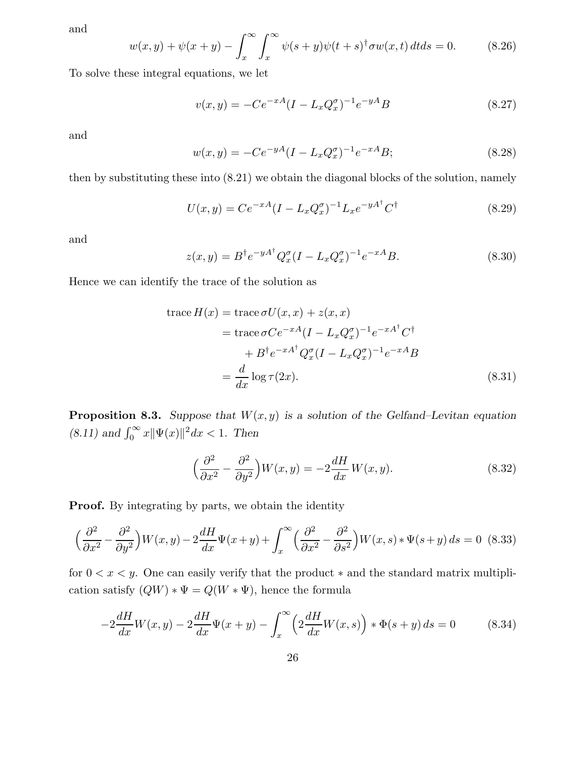and

$$
w(x,y) + \psi(x+y) - \int_x^{\infty} \int_x^{\infty} \psi(s+y)\psi(t+s)^\dagger \sigma w(x,t) \, dt \, ds = 0. \tag{8.26}
$$

To solve these integral equations, we let

$$
v(x,y) = -Ce^{-xA}(I - L_x Q_x^{\sigma})^{-1}e^{-yA}B
$$
\n(8.27)

and

$$
w(x,y) = -Ce^{-yA}(I - L_x Q_x^{\sigma})^{-1}e^{-xA}B;
$$
\n(8.28)

then by substituting these into (8.21) we obtain the diagonal blocks of the solution, namely

$$
U(x,y) = Ce^{-xA}(I - L_x Q_x^{\sigma})^{-1}L_x e^{-yA^{\dagger}} C^{\dagger}
$$
\n(8.29)

and

$$
z(x,y) = B^{\dagger} e^{-yA^{\dagger}} Q_x^{\sigma} (I - L_x Q_x^{\sigma})^{-1} e^{-xA} B.
$$
 (8.30)

Hence we can identify the trace of the solution as

trace 
$$
H(x)
$$
 = trace  $\sigma U(x, x) + z(x, x)$   
\n= trace  $\sigma C e^{-xA} (I - L_x Q_x^{\sigma})^{-1} e^{-xA^{\dagger}} C^{\dagger}$   
\n+  $B^{\dagger} e^{-xA^{\dagger}} Q_x^{\sigma} (I - L_x Q_x^{\sigma})^{-1} e^{-xA} B$   
\n=  $\frac{d}{dx} \log \tau (2x)$ . (8.31)

**Proposition 8.3.** Suppose that  $W(x, y)$  is a solution of the Gelfand–Levitan equation (8.11) and  $\int_0^\infty x ||\Psi(x)||^2 dx < 1$ . Then

$$
\left(\frac{\partial^2}{\partial x^2} - \frac{\partial^2}{\partial y^2}\right) W(x, y) = -2\frac{dH}{dx} W(x, y).
$$
\n(8.32)

**Proof.** By integrating by parts, we obtain the identity

$$
\left(\frac{\partial^2}{\partial x^2} - \frac{\partial^2}{\partial y^2}\right) W(x, y) - 2\frac{dH}{dx}\Psi(x+y) + \int_x^\infty \left(\frac{\partial^2}{\partial x^2} - \frac{\partial^2}{\partial s^2}\right) W(x, s) * \Psi(s+y) ds = 0
$$
 (8.33)

for  $0 < x < y$ . One can easily verify that the product  $*$  and the standard matrix multiplication satisfy  $(QW) * \Psi = Q(W * \Psi)$ , hence the formula

$$
-2\frac{dH}{dx}W(x,y) - 2\frac{dH}{dx}\Psi(x+y) - \int_{x}^{\infty} \left(2\frac{dH}{dx}W(x,s)\right) * \Phi(s+y) ds = 0 \tag{8.34}
$$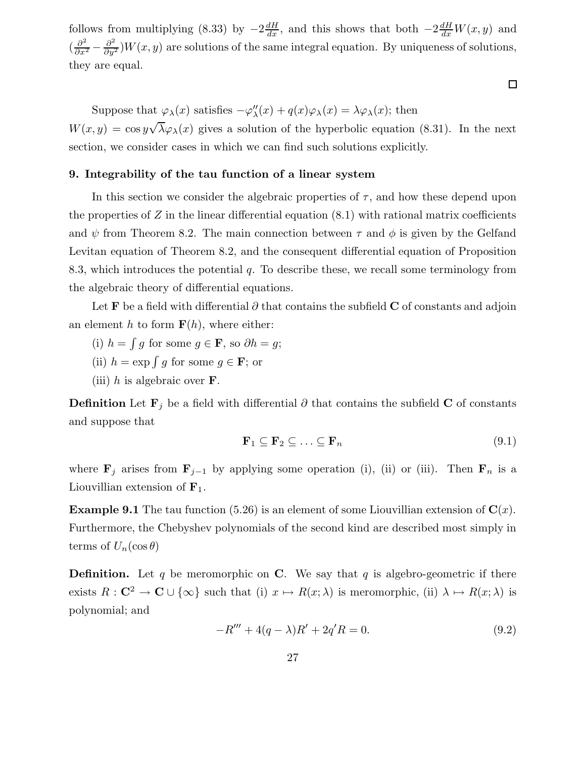follows from multiplying (8.33) by  $-2\frac{dH}{dx}$ , and this shows that both  $-2\frac{dH}{dx}W(x, y)$  and  $\left(\frac{\partial^2}{\partial x^2} - \frac{\partial^2}{\partial y^2}\right)$  $\frac{\partial^2}{\partial y^2}$  W $(x, y)$  are solutions of the same integral equation. By uniqueness of solutions, they are equal.

 $\Box$ 

Suppose that  $\varphi_{\lambda}(x)$  satisfies  $-\varphi''_{\lambda}(x) + q(x)\varphi_{\lambda}(x) = \lambda \varphi_{\lambda}(x)$ ; then  $W(x, y) = \cos y \sqrt{\lambda} \varphi_{\lambda}(x)$  gives a solution of the hyperbolic equation (8.31). In the next section, we consider cases in which we can find such solutions explicitly.

# 9. Integrability of the tau function of a linear system

In this section we consider the algebraic properties of  $\tau$ , and how these depend upon the properties of  $Z$  in the linear differential equation  $(8.1)$  with rational matrix coefficients and  $\psi$  from Theorem 8.2. The main connection between  $\tau$  and  $\phi$  is given by the Gelfand Levitan equation of Theorem 8.2, and the consequent differential equation of Proposition 8.3, which introduces the potential  $q$ . To describe these, we recall some terminology from the algebraic theory of differential equations.

Let **F** be a field with differential  $\partial$  that contains the subfield **C** of constants and adjoin an element h to form  $F(h)$ , where either:

- (i)  $h = \int g$  for some  $g \in \mathbf{F}$ , so  $\partial h = g$ ;
- (ii)  $h = \exp \int g$  for some  $g \in \mathbf{F}$ ; or
- (iii) h is algebraic over  $\bf{F}$ .

**Definition** Let  $\mathbf{F}_j$  be a field with differential  $\partial$  that contains the subfield C of constants and suppose that

$$
\mathbf{F}_1 \subseteq \mathbf{F}_2 \subseteq \ldots \subseteq \mathbf{F}_n \tag{9.1}
$$

where  $\mathbf{F}_j$  arises from  $\mathbf{F}_{j-1}$  by applying some operation (i), (ii) or (iii). Then  $\mathbf{F}_n$  is a Liouvillian extension of  $\mathbf{F}_1$ .

**Example 9.1** The tau function (5.26) is an element of some Liouvillian extension of  $C(x)$ . Furthermore, the Chebyshev polynomials of the second kind are described most simply in terms of  $U_n(\cos\theta)$ 

**Definition.** Let q be meromorphic on C. We say that q is algebro-geometric if there exists  $R: \mathbb{C}^2 \to \mathbb{C} \cup \{\infty\}$  such that (i)  $x \mapsto R(x; \lambda)$  is meromorphic, (ii)  $\lambda \mapsto R(x; \lambda)$  is polynomial; and

$$
-R''' + 4(q - \lambda)R' + 2q'R = 0.
$$
\n(9.2)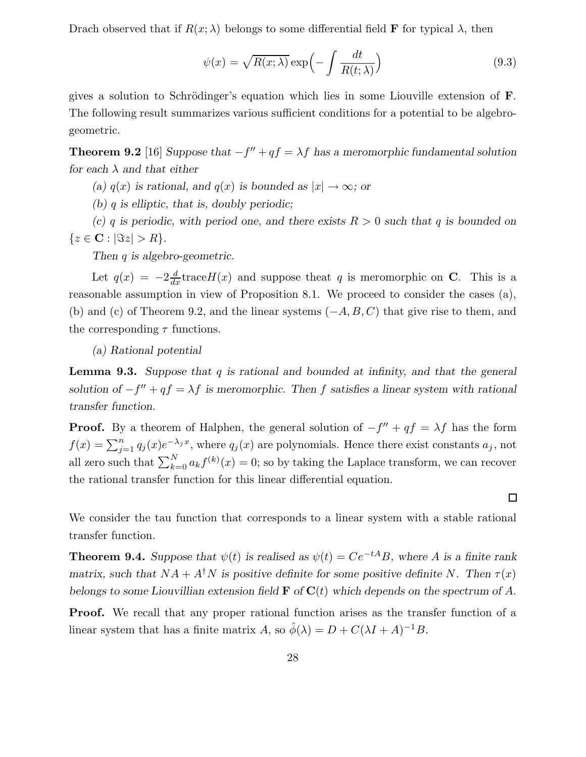Drach observed that if  $R(x; \lambda)$  belongs to some differential field **F** for typical  $\lambda$ , then

$$
\psi(x) = \sqrt{R(x;\lambda)} \exp\left(-\int \frac{dt}{R(t;\lambda)}\right)
$$
\n(9.3)

gives a solution to Schrödinger's equation which lies in some Liouville extension of  $\mathbf{F}$ . The following result summarizes various sufficient conditions for a potential to be algebrogeometric.

**Theorem 9.2** [16] Suppose that  $-f'' + qf = \lambda f$  has a meromorphic fundamental solution for each  $\lambda$  and that either

(a)  $q(x)$  is rational, and  $q(x)$  is bounded as  $|x| \to \infty$ ; or

(b)  $q$  is elliptic, that is, doubly periodic;

(c) q is periodic, with period one, and there exists  $R > 0$  such that q is bounded on  ${z \in \mathbf{C} : |\Im z| > R}.$ 

Then q is algebro-geometric.

Let  $q(x) = -2\frac{d}{dx}\text{trace}H(x)$  and suppose theat q is meromorphic on **C**. This is a reasonable assumption in view of Proposition 8.1. We proceed to consider the cases (a), (b) and (c) of Theorem 9.2, and the linear systems  $(-A, B, C)$  that give rise to them, and the corresponding  $\tau$  functions.

(a) Rational potential

**Lemma 9.3.** Suppose that q is rational and bounded at infinity, and that the general solution of  $-f'' + qf = \lambda f$  is meromorphic. Then f satisfies a linear system with rational transfer function.

**Proof.** By a theorem of Halphen, the general solution of  $-f'' + qf = \lambda f$  has the form  $f(x) = \sum_{j=1}^{n} q_j(x) e^{-\lambda_j x}$ , where  $q_j(x)$  are polynomials. Hence there exist constants  $a_j$ , not all zero such that  $\sum_{k=0}^{N} a_k f^{(k)}(x) = 0$ ; so by taking the Laplace transform, we can recover the rational transfer function for this linear differential equation.

We consider the tau function that corresponds to a linear system with a stable rational transfer function.

**Theorem 9.4.** Suppose that  $\psi(t)$  is realised as  $\psi(t) = Ce^{-tA}B$ , where A is a finite rank matrix, such that  $NA + A^{\dagger}N$  is positive definite for some positive definite N. Then  $\tau(x)$ belongs to some Liouvillian extension field  $\mathbf F$  of  $\mathbf C(t)$  which depends on the spectrum of A.

**Proof.** We recall that any proper rational function arises as the transfer function of a linear system that has a finite matrix A, so  $\hat{\phi}(\lambda) = D + C(\lambda I + A)^{-1}B$ .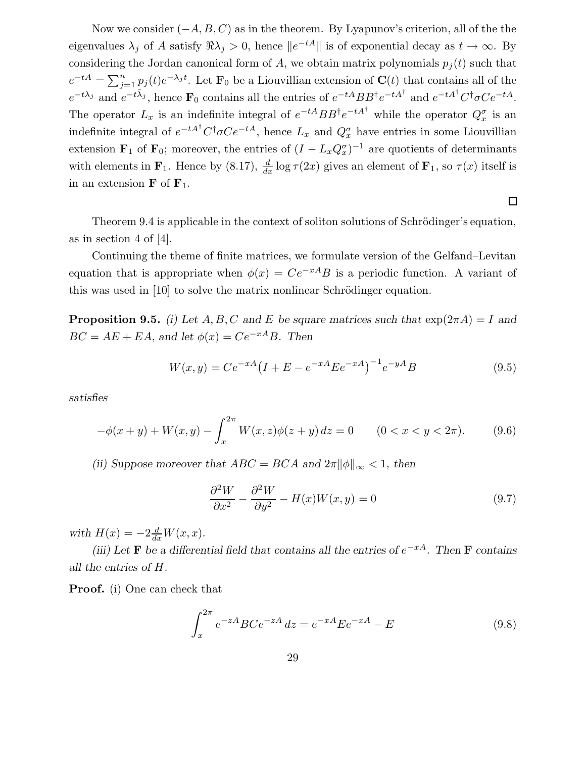Now we consider  $(-A, B, C)$  as in the theorem. By Lyapunov's criterion, all of the the eigenvalues  $\lambda_j$  of A satisfy  $\Re \lambda_j > 0$ , hence  $||e^{-tA}||$  is of exponential decay as  $t \to \infty$ . By considering the Jordan canonical form of A, we obtain matrix polynomials  $p_i(t)$  such that  $e^{-tA} = \sum_{j=1}^n p_j(t)e^{-\lambda_j t}$ . Let  $\mathbf{F}_0$  be a Liouvillian extension of  $\mathbf{C}(t)$  that contains all of the  $e^{-t\lambda_j}$  and  $e^{-t\bar{\lambda}_j}$ , hence  $\mathbf{F}_0$  contains all the entries of  $e^{-tA}BB^{\dagger}e^{-tA^{\dagger}}$  and  $e^{-tA^{\dagger}}C^{\dagger}\sigma Ce^{-tA}$ . The operator  $L_x$  is an indefinite integral of  $e^{-tA}BB^{\dagger}e^{-tA^{\dagger}}$  while the operator  $Q_x^{\sigma}$  is an indefinite integral of  $e^{-tA^{\dagger}}C^{\dagger}\sigma Ce^{-tA}$ , hence  $L_x$  and  $Q_x^{\sigma}$  have entries in some Liouvillian extension  $\mathbf{F}_1$  of  $\mathbf{F}_0$ ; moreover, the entries of  $(I - L_x Q_x^{\sigma})^{-1}$  are quotients of determinants with elements in  $\mathbf{F}_1$ . Hence by (8.17),  $\frac{d}{dx} \log \tau(2x)$  gives an element of  $\mathbf{F}_1$ , so  $\tau(x)$  itself is in an extension  $\mathbf{F}$  of  $\mathbf{F}_1$ .

 $\Box$ 

Theorem 9.4 is applicable in the context of soliton solutions of Schrödinger's equation, as in section 4 of [4].

Continuing the theme of finite matrices, we formulate version of the Gelfand–Levitan equation that is appropriate when  $\phi(x) = Ce^{-xA}B$  is a periodic function. A variant of this was used in  $[10]$  to solve the matrix nonlinear Schrödinger equation.

**Proposition 9.5.** (i) Let A, B, C and E be square matrices such that  $\exp(2\pi A) = I$  and  $BC = AE + EA$ , and let  $\phi(x) = Ce^{-xA}B$ . Then

$$
W(x,y) = Ce^{-xA} \left(I + E - e^{-xA} E e^{-xA}\right)^{-1} e^{-yA} B \tag{9.5}
$$

satisfies

$$
-\phi(x+y) + W(x,y) - \int_x^{2\pi} W(x,z)\phi(z+y) \, dz = 0 \qquad (0 < x < y < 2\pi). \tag{9.6}
$$

(ii) Suppose moreover that  $ABC = BCA$  and  $2\pi ||\phi||_{\infty} < 1$ , then

$$
\frac{\partial^2 W}{\partial x^2} - \frac{\partial^2 W}{\partial y^2} - H(x)W(x, y) = 0
$$
\n(9.7)

with  $H(x) = -2\frac{d}{dx}W(x, x)$ .

(iii) Let **F** be a differential field that contains all the entries of  $e^{-xA}$ . Then **F** contains all the entries of H.

Proof. (i) One can check that

$$
\int_{x}^{2\pi} e^{-zA} BC e^{-zA} dz = e^{-xA} E e^{-xA} - E
$$
\n(9.8)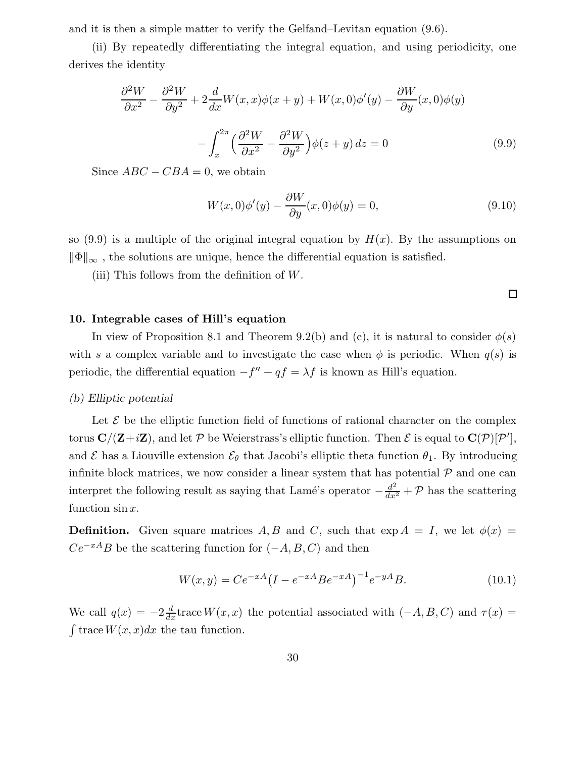and it is then a simple matter to verify the Gelfand–Levitan equation (9.6).

(ii) By repeatedly differentiating the integral equation, and using periodicity, one derives the identity

$$
\frac{\partial^2 W}{\partial x^2} - \frac{\partial^2 W}{\partial y^2} + 2\frac{d}{dx}W(x, x)\phi(x+y) + W(x, 0)\phi'(y) - \frac{\partial W}{\partial y}(x, 0)\phi(y) - \int_x^{2\pi} \left(\frac{\partial^2 W}{\partial x^2} - \frac{\partial^2 W}{\partial y^2}\right)\phi(z+y) dz = 0
$$
\n(9.9)

Since  $ABC - CBA = 0$ , we obtain

$$
W(x,0)\phi'(y) - \frac{\partial W}{\partial y}(x,0)\phi(y) = 0,
$$
\n(9.10)

so (9.9) is a multiple of the original integral equation by  $H(x)$ . By the assumptions on  $\|\Phi\|_{\infty}$ , the solutions are unique, hence the differential equation is satisfied.

(iii) This follows from the definition of  $W$ .

 $\Box$ 

# 10. Integrable cases of Hill's equation

In view of Proposition 8.1 and Theorem 9.2(b) and (c), it is natural to consider  $\phi(s)$ with s a complex variable and to investigate the case when  $\phi$  is periodic. When  $q(s)$  is periodic, the differential equation  $-f'' + qf = \lambda f$  is known as Hill's equation.

# (b) Elliptic potential

Let  $\mathcal E$  be the elliptic function field of functions of rational character on the complex torus  $\bf C/(\bf Z+iZ)$ , and let  $\cal P$  be Weierstrass's elliptic function. Then  $\cal E$  is equal to  $\bf C(\cal P)[\cal P'],$ and  $\mathcal E$  has a Liouville extension  $\mathcal E_\theta$  that Jacobi's elliptic theta function  $\theta_1$ . By introducing infinite block matrices, we now consider a linear system that has potential  $P$  and one can interpret the following result as saying that Lamé's operator  $-\frac{d^2}{dx^2} + \mathcal{P}$  has the scattering function  $\sin x$ .

**Definition.** Given square matrices A, B and C, such that  $\exp A = I$ , we let  $\phi(x) =$  $Ce^{-xA}B$  be the scattering function for  $(-A, B, C)$  and then

$$
W(x,y) = Ce^{-xA} \left(I - e^{-xA}Be^{-xA}\right)^{-1} e^{-yA}B. \tag{10.1}
$$

We call  $q(x) = -2\frac{d}{dx}$ trace  $W(x, x)$  the potential associated with  $(-A, B, C)$  and  $\tau(x) =$  $\int \operatorname{trace} W(x, x) dx$  the tau function.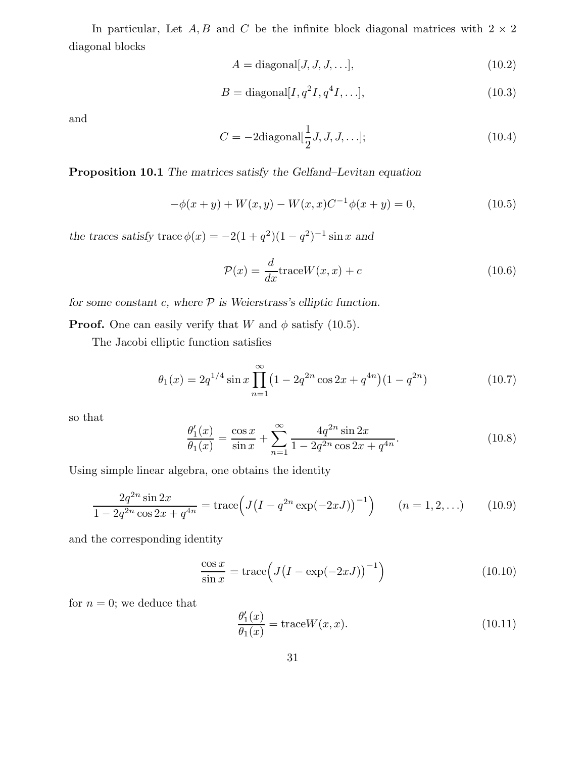In particular, Let A, B and C be the infinite block diagonal matrices with  $2 \times 2$ diagonal blocks

$$
A = \text{diagonal}[J, J, J, \ldots],\tag{10.2}
$$

$$
B = \text{diagonal}[I, q^2I, q^4I, \ldots],\tag{10.3}
$$

and

$$
C = -2 \text{diagonal}[\frac{1}{2}J, J, J, \dots];
$$
\n(10.4)

Proposition 10.1 The matrices satisfy the Gelfand–Levitan equation

$$
-\phi(x+y) + W(x,y) - W(x,x)C^{-1}\phi(x+y) = 0,
$$
\n(10.5)

the traces satisfy trace  $\phi(x) = -2(1+q^2)(1-q^2)^{-1} \sin x$  and

$$
\mathcal{P}(x) = \frac{d}{dx}\text{trace}W(x,x) + c
$$
\n(10.6)

for some constant  $c$ , where  $P$  is Weierstrass's elliptic function.

**Proof.** One can easily verify that W and  $\phi$  satisfy (10.5).

The Jacobi elliptic function satisfies

$$
\theta_1(x) = 2q^{1/4} \sin x \prod_{n=1}^{\infty} \left(1 - 2q^{2n} \cos 2x + q^{4n}\right) \left(1 - q^{2n}\right) \tag{10.7}
$$

so that

$$
\frac{\theta_1'(x)}{\theta_1(x)} = \frac{\cos x}{\sin x} + \sum_{n=1}^{\infty} \frac{4q^{2n} \sin 2x}{1 - 2q^{2n} \cos 2x + q^{4n}}.
$$
\n(10.8)

Using simple linear algebra, one obtains the identity

$$
\frac{2q^{2n}\sin 2x}{1 - 2q^{2n}\cos 2x + q^{4n}} = \text{trace}\Big(J\big(I - q^{2n}\exp(-2xJ)\big)^{-1}\Big) \qquad (n = 1, 2, ...)
$$
 (10.9)

and the corresponding identity

$$
\frac{\cos x}{\sin x} = \text{trace}\left(J\left(I - \exp(-2xJ)\right)^{-1}\right) \tag{10.10}
$$

for  $n = 0$ ; we deduce that

$$
\frac{\theta_1'(x)}{\theta_1(x)} = \text{trace}W(x, x). \tag{10.11}
$$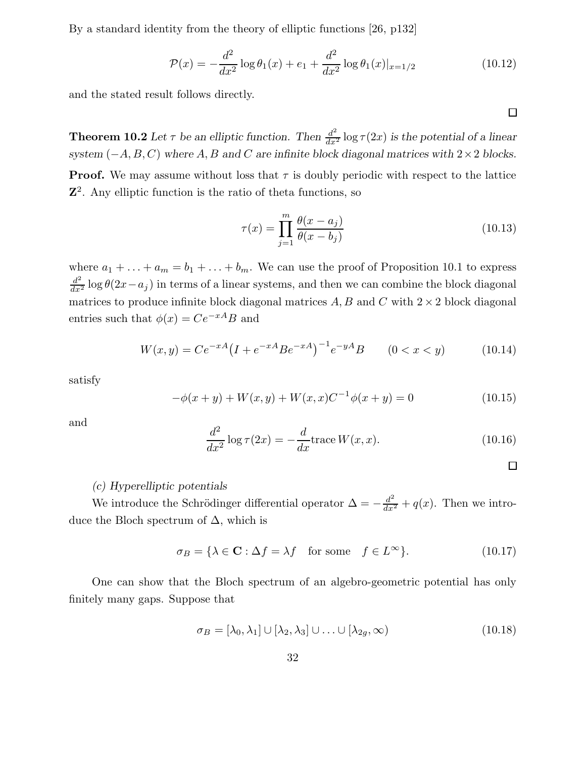By a standard identity from the theory of elliptic functions [26, p132]

$$
\mathcal{P}(x) = -\frac{d^2}{dx^2} \log \theta_1(x) + e_1 + \frac{d^2}{dx^2} \log \theta_1(x)|_{x=1/2}
$$
\n(10.12)

and the stated result follows directly.

**Theorem 10.2** Let  $\tau$  be an elliptic function. Then  $\frac{d^2}{dx^2} \log \tau(2x)$  is the potential of a linear system  $(-A, B, C)$  where A, B and C are infinite block diagonal matrices with 2 × 2 blocks. **Proof.** We may assume without loss that  $\tau$  is doubly periodic with respect to the lattice Z 2 . Any elliptic function is the ratio of theta functions, so

$$
\tau(x) = \prod_{j=1}^{m} \frac{\theta(x - a_j)}{\theta(x - b_j)}
$$
\n(10.13)

where  $a_1 + \ldots + a_m = b_1 + \ldots + b_m$ . We can use the proof of Proposition 10.1 to express  $\frac{d^2}{dx^2}$  log  $\theta(2x-a_j)$  in terms of a linear systems, and then we can combine the block diagonal matrices to produce infinite block diagonal matrices  $A, B$  and  $C$  with  $2 \times 2$  block diagonal entries such that  $\phi(x) = Ce^{-xA}B$  and

$$
W(x,y) = Ce^{-xA} \left( I + e^{-xA} Be^{-xA} \right)^{-1} e^{-yA} B \qquad (0 < x < y) \tag{10.14}
$$

satisfy

$$
-\phi(x+y) + W(x,y) + W(x,x)C^{-1}\phi(x+y) = 0
$$
\n(10.15)

and

$$
\frac{d^2}{dx^2}\log\tau(2x) = -\frac{d}{dx}\text{trace}\,W(x,x). \tag{10.16}
$$

 $\Box$ 

# (c) Hyperelliptic potentials

We introduce the Schrödinger differential operator  $\Delta = -\frac{d^2}{dx^2} + q(x)$ . Then we introduce the Bloch spectrum of  $\Delta$ , which is

$$
\sigma_B = \{ \lambda \in \mathbf{C} : \Delta f = \lambda f \quad \text{for some} \quad f \in L^{\infty} \}. \tag{10.17}
$$

One can show that the Bloch spectrum of an algebro-geometric potential has only finitely many gaps. Suppose that

$$
\sigma_B = [\lambda_0, \lambda_1] \cup [\lambda_2, \lambda_3] \cup \ldots \cup [\lambda_{2g}, \infty)
$$
\n(10.18)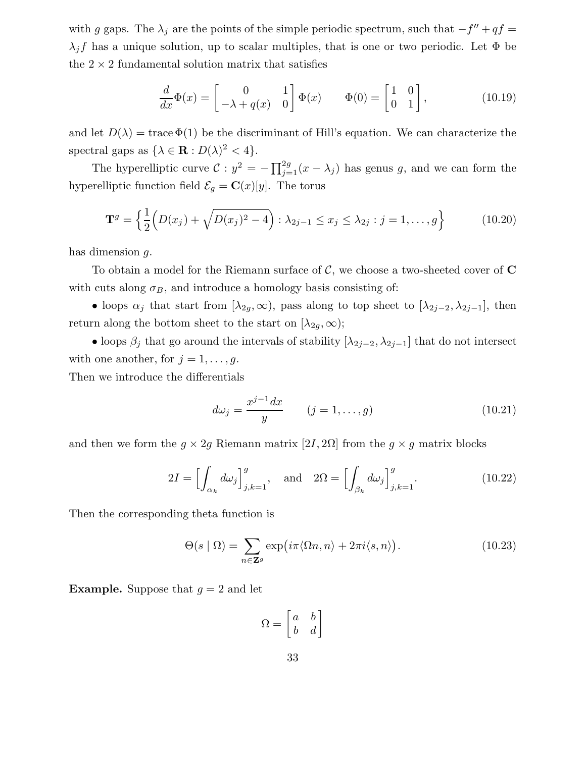with g gaps. The  $\lambda_j$  are the points of the simple periodic spectrum, such that  $-f'' + qf =$  $\lambda_j f$  has a unique solution, up to scalar multiples, that is one or two periodic. Let  $\Phi$  be the  $2 \times 2$  fundamental solution matrix that satisfies

$$
\frac{d}{dx}\Phi(x) = \begin{bmatrix} 0 & 1 \\ -\lambda + q(x) & 0 \end{bmatrix} \Phi(x) \qquad \Phi(0) = \begin{bmatrix} 1 & 0 \\ 0 & 1 \end{bmatrix},
$$
\n(10.19)

and let  $D(\lambda) = \text{trace } \Phi(1)$  be the discriminant of Hill's equation. We can characterize the spectral gaps as  $\{\lambda \in \mathbf{R} : D(\lambda)^2 < 4\}.$ 

The hyperelliptic curve  $\mathcal{C}: y^2 = -\prod_{j=1}^{2g} (x - \lambda_j)$  has genus g, and we can form the hyperelliptic function field  $\mathcal{E}_g = \mathbf{C}(x)[y]$ . The torus

$$
\mathbf{T}^{g} = \left\{ \frac{1}{2} \left( D(x_j) + \sqrt{D(x_j)^2 - 4} \right) : \lambda_{2j-1} \le x_j \le \lambda_{2j} : j = 1, ..., g \right\}
$$
 (10.20)

has dimension g.

To obtain a model for the Riemann surface of  $\mathcal{C}$ , we choose a two-sheeted cover of  $\mathbf{C}$ with cuts along  $\sigma_B$ , and introduce a homology basis consisting of:

• loops  $\alpha_j$  that start from  $[\lambda_{2g}, \infty)$ , pass along to top sheet to  $[\lambda_{2j-2}, \lambda_{2j-1}]$ , then return along the bottom sheet to the start on  $[\lambda_{2g}, \infty)$ ;

• loops  $\beta_j$  that go around the intervals of stability  $[\lambda_{2j-2}, \lambda_{2j-1}]$  that do not intersect with one another, for  $j = 1, \ldots, g$ .

Then we introduce the differentials

$$
d\omega_j = \frac{x^{j-1}dx}{y} \qquad (j = 1, ..., g)
$$
 (10.21)

and then we form the  $q \times 2q$  Riemann matrix  $[2I, 2\Omega]$  from the  $q \times q$  matrix blocks

$$
2I = \left[\int_{\alpha_k} d\omega_j\right]_{j,k=1}^g, \text{ and } 2\Omega = \left[\int_{\beta_k} d\omega_j\right]_{j,k=1}^g. \tag{10.22}
$$

Then the corresponding theta function is

$$
\Theta(s \mid \Omega) = \sum_{n \in \mathbf{Z}^g} \exp\left(i\pi \langle \Omega n, n \rangle + 2\pi i \langle s, n \rangle\right). \tag{10.23}
$$

**Example.** Suppose that  $q = 2$  and let

$$
\Omega = \begin{bmatrix} a & b \\ b & d \end{bmatrix}
$$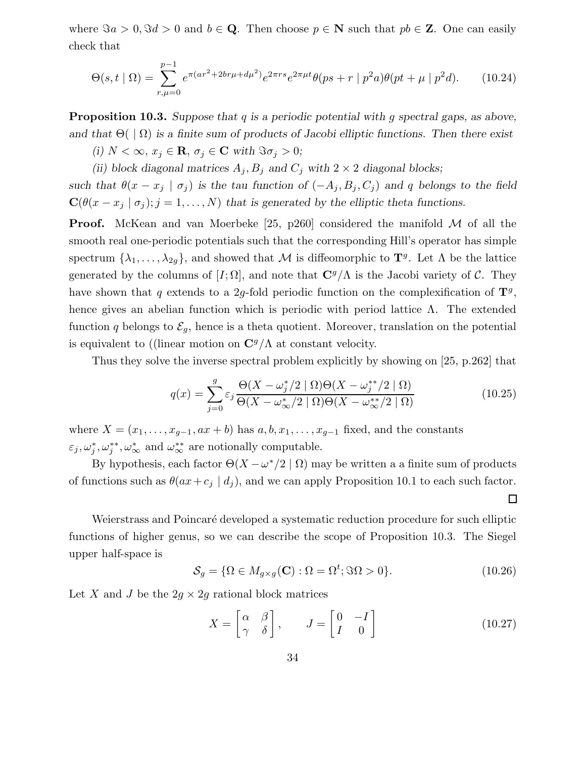where  $\Im a > 0$ ,  $\Im d > 0$  and  $b \in \mathbf{Q}$ . Then choose  $p \in \mathbf{N}$  such that  $pb \in \mathbf{Z}$ . One can easily check that

$$
\Theta(s,t\mid\Omega) = \sum_{r,\mu=0}^{p-1} e^{\pi(ar^2 + 2br\mu + d\mu^2)} e^{2\pi rs} e^{2\pi\mu t} \theta(ps+r\mid p^2a)\theta(pt+\mu\mid p^2d). \tag{10.24}
$$

**Proposition 10.3.** Suppose that q is a periodic potential with g spectral gaps, as above, and that  $\Theta(\langle \Omega \rangle)$  is a finite sum of products of Jacobi elliptic functions. Then there exist

(i)  $N < \infty$ ,  $x_j \in \mathbf{R}$ ,  $\sigma_j \in \mathbf{C}$  with  $\Im \sigma_j > 0$ ;

(ii) block diagonal matrices  $A_j$ ,  $B_j$  and  $C_j$  with  $2 \times 2$  diagonal blocks;

such that  $\theta(x - x_j \mid \sigma_j)$  is the tau function of  $(-A_j, B_j, C_j)$  and q belongs to the field  $\mathbf{C}(\theta(x-x_j \mid \sigma_j); j=1,\ldots,N)$  that is generated by the elliptic theta functions.

**Proof.** McKean and van Moerbeke [25, p260] considered the manifold  $M$  of all the smooth real one-periodic potentials such that the corresponding Hill's operator has simple spectrum  $\{\lambda_1, \ldots, \lambda_{2g}\}$ , and showed that M is diffeomorphic to  $\mathbf{T}^g$ . Let  $\Lambda$  be the lattice generated by the columns of  $[I; \Omega]$ , and note that  $\mathbb{C}^g/\Lambda$  is the Jacobi variety of C. They have shown that q extends to a 2g-fold periodic function on the complexification of  $\mathbf{T}^g$ , hence gives an abelian function which is periodic with period lattice  $\Lambda$ . The extended function q belongs to  $\mathcal{E}_g$ , hence is a theta quotient. Moreover, translation on the potential is equivalent to ((linear motion on  $\mathbb{C}^g/\Lambda$  at constant velocity.

Thus they solve the inverse spectral problem explicitly by showing on [25, p.262] that

$$
q(x) = \sum_{j=0}^{g} \varepsilon_j \frac{\Theta(X - \omega_j^*/2 \mid \Omega)\Theta(X - \omega_j^{**}/2 \mid \Omega)}{\Theta(X - \omega_{\infty}^*/2 \mid \Omega)\Theta(X - \omega_{\infty}^{**}/2 \mid \Omega)}
$$
(10.25)

where  $X = (x_1, \ldots, x_{g-1}, ax + b)$  has  $a, b, x_1, \ldots, x_{g-1}$  fixed, and the constants  $\varepsilon_j, \omega_j^*, \omega_j^*, \omega_{\infty}^*$  and  $\omega_{\infty}^{**}$  are notionally computable.

By hypothesis, each factor  $\Theta(X - \omega^*/2 \mid \Omega)$  may be written a a finite sum of products of functions such as  $\theta(ax+c_j | d_j)$ , and we can apply Proposition 10.1 to each such factor.

Weierstrass and Poincaré developed a systematic reduction procedure for such elliptic functions of higher genus, so we can describe the scope of Proposition 10.3. The Siegel upper half-space is

$$
S_g = \{ \Omega \in M_{g \times g}(\mathbf{C}) : \Omega = \Omega^t; \Im \Omega > 0 \}. \tag{10.26}
$$

 $\Box$ 

Let X and J be the  $2g \times 2g$  rational block matrices

$$
X = \begin{bmatrix} \alpha & \beta \\ \gamma & \delta \end{bmatrix}, \qquad J = \begin{bmatrix} 0 & -I \\ I & 0 \end{bmatrix} \tag{10.27}
$$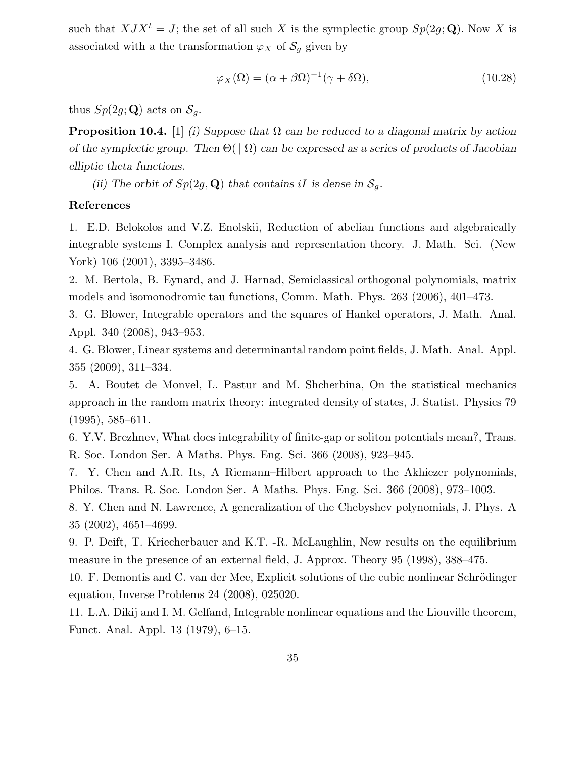such that  $XJX^t = J$ ; the set of all such X is the symplectic group  $Sp(2q; \mathbf{Q})$ . Now X is associated with a the transformation  $\varphi_X$  of  $\mathcal{S}_q$  given by

$$
\varphi_X(\Omega) = (\alpha + \beta \Omega)^{-1} (\gamma + \delta \Omega), \qquad (10.28)
$$

thus  $Sp(2g;{\bf Q})$  acts on  $S_q$ .

**Proposition 10.4.** [1] (i) Suppose that  $\Omega$  can be reduced to a diagonal matrix by action of the symplectic group. Then  $\Theta(|\Omega)$  can be expressed as a series of products of Jacobian elliptic theta functions.

(ii) The orbit of  $Sp(2g, \mathbf{Q})$  that contains iI is dense in  $\mathcal{S}_g$ .

# References

1. E.D. Belokolos and V.Z. Enolskii, Reduction of abelian functions and algebraically integrable systems I. Complex analysis and representation theory. J. Math. Sci. (New York) 106 (2001), 3395–3486.

2. M. Bertola, B. Eynard, and J. Harnad, Semiclassical orthogonal polynomials, matrix models and isomonodromic tau functions, Comm. Math. Phys. 263 (2006), 401–473.

3. G. Blower, Integrable operators and the squares of Hankel operators, J. Math. Anal. Appl. 340 (2008), 943–953.

4. G. Blower, Linear systems and determinantal random point fields, J. Math. Anal. Appl. 355 (2009), 311–334.

5. A. Boutet de Monvel, L. Pastur and M. Shcherbina, On the statistical mechanics approach in the random matrix theory: integrated density of states, J. Statist. Physics 79 (1995), 585–611.

6. Y.V. Brezhnev, What does integrability of finite-gap or soliton potentials mean?, Trans. R. Soc. London Ser. A Maths. Phys. Eng. Sci. 366 (2008), 923–945.

7. Y. Chen and A.R. Its, A Riemann–Hilbert approach to the Akhiezer polynomials, Philos. Trans. R. Soc. London Ser. A Maths. Phys. Eng. Sci. 366 (2008), 973–1003.

8. Y. Chen and N. Lawrence, A generalization of the Chebyshev polynomials, J. Phys. A 35 (2002), 4651–4699.

9. P. Deift, T. Kriecherbauer and K.T. -R. McLaughlin, New results on the equilibrium measure in the presence of an external field, J. Approx. Theory 95 (1998), 388–475.

10. F. Demontis and C. van der Mee, Explicit solutions of the cubic nonlinear Schrödinger equation, Inverse Problems 24 (2008), 025020.

11. L.A. Dikij and I. M. Gelfand, Integrable nonlinear equations and the Liouville theorem, Funct. Anal. Appl. 13 (1979), 6–15.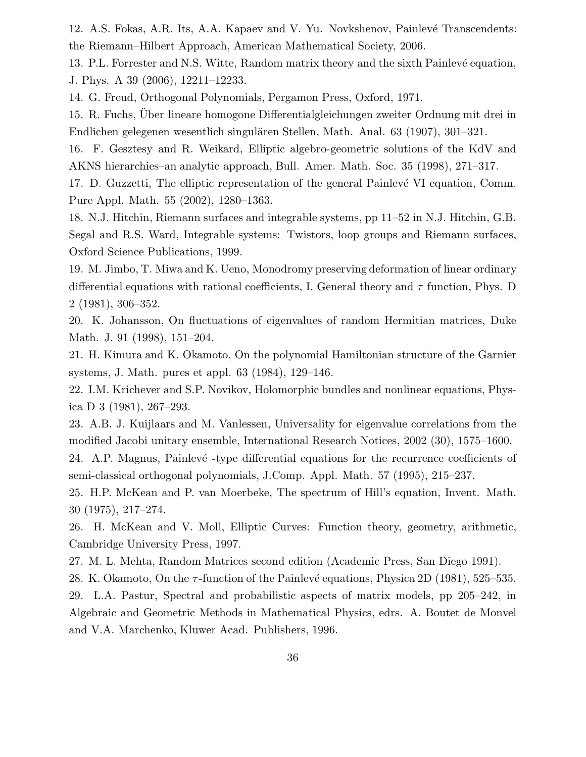12. A.S. Fokas, A.R. Its, A.A. Kapaev and V. Yu. Novkshenov, Painlevé Transcendents: the Riemann–Hilbert Approach, American Mathematical Society, 2006.

13. P.L. Forrester and N.S. Witte, Random matrix theory and the sixth Painlevé equation, J. Phys. A 39 (2006), 12211–12233.

14. G. Freud, Orthogonal Polynomials, Pergamon Press, Oxford, 1971.

15. R. Fuchs, Über lineare homogone Differentialgleichungen zweiter Ordnung mit drei in Endlichen gelegenen wesentlich singulären Stellen, Math. Anal. 63 (1907), 301–321.

16. F. Gesztesy and R. Weikard, Elliptic algebro-geometric solutions of the KdV and AKNS hierarchies–an analytic approach, Bull. Amer. Math. Soc. 35 (1998), 271–317.

17. D. Guzzetti, The elliptic representation of the general Painlevé VI equation, Comm. Pure Appl. Math. 55 (2002), 1280–1363.

18. N.J. Hitchin, Riemann surfaces and integrable systems, pp 11–52 in N.J. Hitchin, G.B. Segal and R.S. Ward, Integrable systems: Twistors, loop groups and Riemann surfaces, Oxford Science Publications, 1999.

19. M. Jimbo, T. Miwa and K. Ueno, Monodromy preserving deformation of linear ordinary differential equations with rational coefficients, I. General theory and  $\tau$  function, Phys. D 2 (1981), 306–352.

20. K. Johansson, On fluctuations of eigenvalues of random Hermitian matrices, Duke Math. J. 91 (1998), 151–204.

21. H. Kimura and K. Okamoto, On the polynomial Hamiltonian structure of the Garnier systems, J. Math. pures et appl. 63 (1984), 129–146.

22. I.M. Krichever and S.P. Novikov, Holomorphic bundles and nonlinear equations, Physica D 3 (1981), 267–293.

23. A.B. J. Kuijlaars and M. Vanlessen, Universality for eigenvalue correlations from the modified Jacobi unitary ensemble, International Research Notices, 2002 (30), 1575–1600.

24. A.P. Magnus, Painlevé -type differential equations for the recurrence coefficients of semi-classical orthogonal polynomials, J.Comp. Appl. Math. 57 (1995), 215–237.

25. H.P. McKean and P. van Moerbeke, The spectrum of Hill's equation, Invent. Math. 30 (1975), 217–274.

26. H. McKean and V. Moll, Elliptic Curves: Function theory, geometry, arithmetic, Cambridge University Press, 1997.

27. M. L. Mehta, Random Matrices second edition (Academic Press, San Diego 1991).

28. K. Okamoto, On the  $\tau$ -function of the Painlevé equations, Physica 2D (1981), 525–535.

29. L.A. Pastur, Spectral and probabilistic aspects of matrix models, pp 205–242, in Algebraic and Geometric Methods in Mathematical Physics, edrs. A. Boutet de Monvel and V.A. Marchenko, Kluwer Acad. Publishers, 1996.